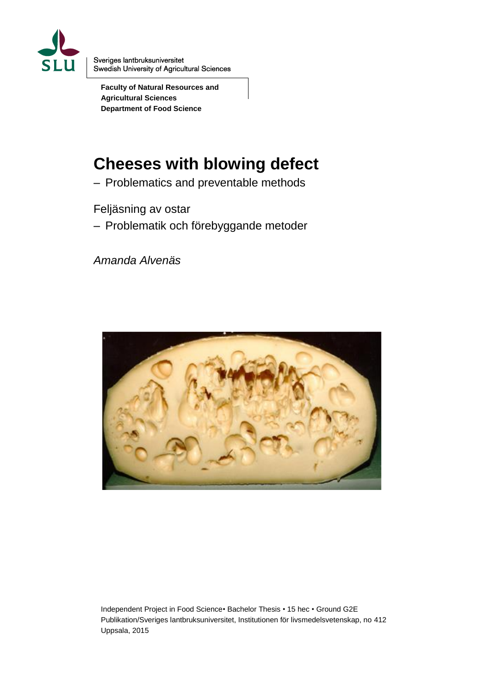

Sveriges lantbruksuniversitet Swedish University of Agricultural Sciences

**Faculty of Natural Resources and Agricultural Sciences Department of Food Science**

# **Cheeses with blowing defect**

– Problematics and preventable methods

Feljäsning av ostar

– Problematik och förebyggande metoder

*Amanda Alvenäs*



Independent Project in Food Science• Bachelor Thesis • 15 hec • Ground G2E Publikation/Sveriges lantbruksuniversitet, Institutionen för livsmedelsvetenskap, no 412 Uppsala, 2015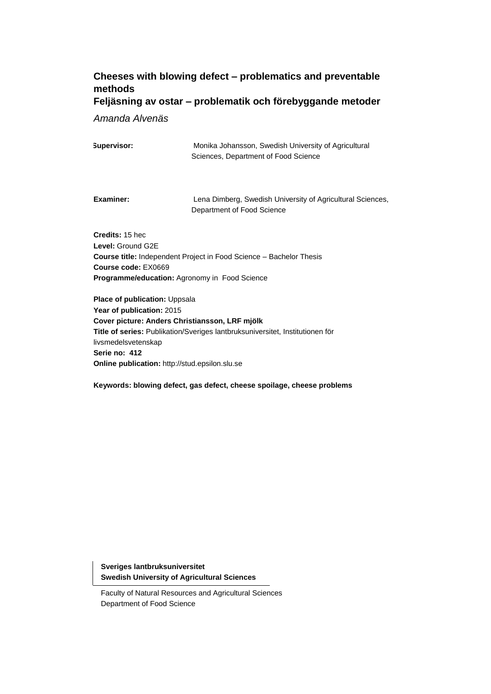## **Cheeses with blowing defect – problematics and preventable methods Feljäsning av ostar – problematik och förebyggande metoder**

*Amanda Alvenäs*

| Supervisor: | Monika Johansson, Swedish University of Agricultural |
|-------------|------------------------------------------------------|
|             | Sciences, Department of Food Science                 |

**Examiner:** Lena Dimberg, Swedish University of Agricultural Sciences, Department of Food Science

**Credits:** 15 hec **Level:** Ground G2E **Course title:** Independent Project in Food Science – Bachelor Thesis **Course code:** EX0669 **Programme/education:** Agronomy in Food Science

**Place of publication:** Uppsala **Year of publication:** 2015 **Cover picture: Anders Christiansson, LRF mjölk Title of series:** Publikation/Sveriges lantbruksuniversitet, Institutionen för livsmedelsvetenskap **Serie no: 412 Online publication:** http://stud.epsilon.slu.se

**Keywords: blowing defect, gas defect, cheese spoilage, cheese problems**

**Sveriges lantbruksuniversitet Swedish University of Agricultural Sciences**

Faculty of Natural Resources and Agricultural Sciences Department of Food Science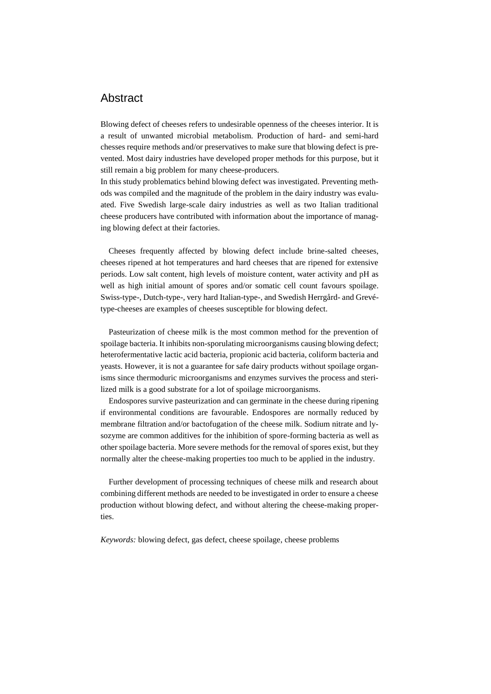## Abstract

Blowing defect of cheeses refers to undesirable openness of the cheeses interior. It is a result of unwanted microbial metabolism. Production of hard- and semi-hard chesses require methods and/or preservatives to make sure that blowing defect is prevented. Most dairy industries have developed proper methods for this purpose, but it still remain a big problem for many cheese-producers.

In this study problematics behind blowing defect was investigated. Preventing methods was compiled and the magnitude of the problem in the dairy industry was evaluated. Five Swedish large-scale dairy industries as well as two Italian traditional cheese producers have contributed with information about the importance of managing blowing defect at their factories.

Cheeses frequently affected by blowing defect include brine-salted cheeses, cheeses ripened at hot temperatures and hard cheeses that are ripened for extensive periods. Low salt content, high levels of moisture content, water activity and pH as well as high initial amount of spores and/or somatic cell count favours spoilage. Swiss-type-, Dutch-type-, very hard Italian-type-, and Swedish Herrgård- and Grevétype-cheeses are examples of cheeses susceptible for blowing defect.

Pasteurization of cheese milk is the most common method for the prevention of spoilage bacteria. It inhibits non-sporulating microorganisms causing blowing defect; heterofermentative lactic acid bacteria, propionic acid bacteria, coliform bacteria and yeasts. However, it is not a guarantee for safe dairy products without spoilage organisms since thermoduric microorganisms and enzymes survives the process and sterilized milk is a good substrate for a lot of spoilage microorganisms.

Endospores survive pasteurization and can germinate in the cheese during ripening if environmental conditions are favourable. Endospores are normally reduced by membrane filtration and/or bactofugation of the cheese milk. Sodium nitrate and lysozyme are common additives for the inhibition of spore-forming bacteria as well as other spoilage bacteria. More severe methods for the removal of spores exist, but they normally alter the cheese-making properties too much to be applied in the industry.

Further development of processing techniques of cheese milk and research about combining different methods are needed to be investigated in order to ensure a cheese production without blowing defect, and without altering the cheese-making properties.

*Keywords:* blowing defect, gas defect, cheese spoilage, cheese problems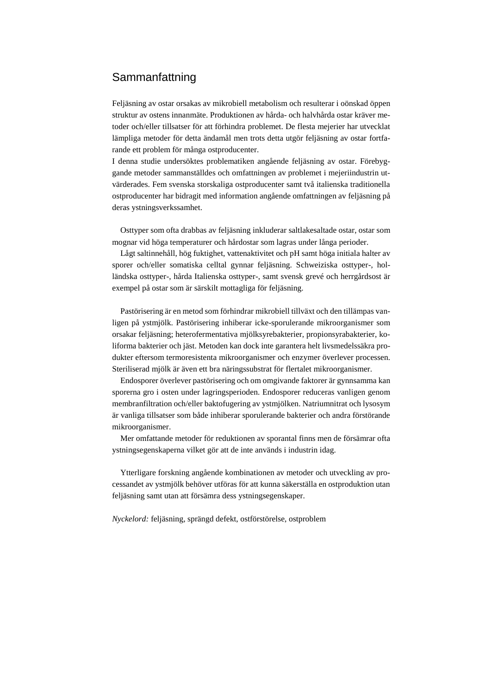## **Sammanfattning**

Feljäsning av ostar orsakas av mikrobiell metabolism och resulterar i oönskad öppen struktur av ostens innanmäte. Produktionen av hårda- och halvhårda ostar kräver metoder och/eller tillsatser för att förhindra problemet. De flesta mejerier har utvecklat lämpliga metoder för detta ändamål men trots detta utgör feljäsning av ostar fortfarande ett problem för många ostproducenter.

I denna studie undersöktes problematiken angående feljäsning av ostar. Förebyggande metoder sammanställdes och omfattningen av problemet i mejeriindustrin utvärderades. Fem svenska storskaliga ostproducenter samt två italienska traditionella ostproducenter har bidragit med information angående omfattningen av feljäsning på deras ystningsverkssamhet.

Osttyper som ofta drabbas av feljäsning inkluderar saltlakesaltade ostar, ostar som mognar vid höga temperaturer och hårdostar som lagras under långa perioder.

Lågt saltinnehåll, hög fuktighet, vattenaktivitet och pH samt höga initiala halter av sporer och/eller somatiska celltal gynnar feljäsning. Schweiziska osttyper-, holländska osttyper-, hårda Italienska osttyper-, samt svensk grevé och herrgårdsost är exempel på ostar som är särskilt mottagliga för feljäsning.

Pastörisering är en metod som förhindrar mikrobiell tillväxt och den tillämpas vanligen på ystmjölk. Pastörisering inhiberar icke-sporulerande mikroorganismer som orsakar feljäsning; heterofermentativa mjölksyrebakterier, propionsyrabakterier, koliforma bakterier och jäst. Metoden kan dock inte garantera helt livsmedelssäkra produkter eftersom termoresistenta mikroorganismer och enzymer överlever processen. Steriliserad mjölk är även ett bra näringssubstrat för flertalet mikroorganismer.

Endosporer överlever pastörisering och om omgivande faktorer är gynnsamma kan sporerna gro i osten under lagringsperioden. Endosporer reduceras vanligen genom membranfiltration och/eller baktofugering av ystmjölken. Natriumnitrat och lysosym är vanliga tillsatser som både inhiberar sporulerande bakterier och andra förstörande mikroorganismer.

Mer omfattande metoder för reduktionen av sporantal finns men de försämrar ofta ystningsegenskaperna vilket gör att de inte används i industrin idag.

Ytterligare forskning angående kombinationen av metoder och utveckling av processandet av ystmjölk behöver utföras för att kunna säkerställa en ostproduktion utan feljäsning samt utan att försämra dess ystningsegenskaper.

*Nyckelord:* feljäsning, sprängd defekt, ostförstörelse, ostproblem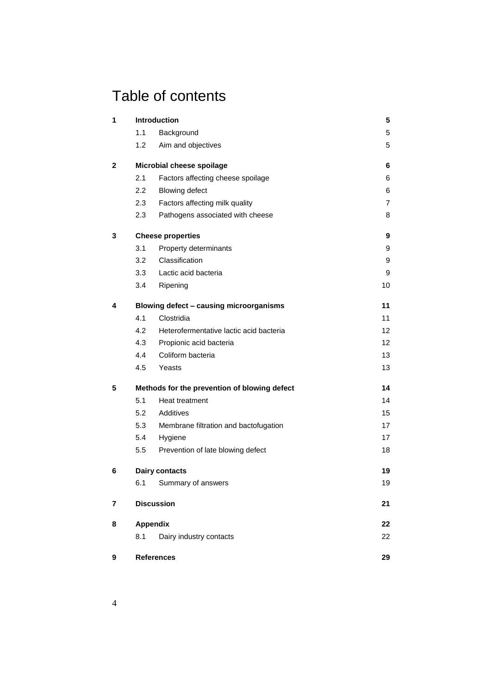# Table of contents

| 1                                         |     | <b>Introduction</b>                          | 5  |
|-------------------------------------------|-----|----------------------------------------------|----|
|                                           | 1.1 | Background                                   | 5  |
|                                           | 1.2 | Aim and objectives                           | 5  |
| $\mathbf{2}$<br>Microbial cheese spoilage |     |                                              | 6  |
|                                           | 2.1 | Factors affecting cheese spoilage            | 6  |
|                                           | 2.2 | <b>Blowing defect</b>                        | 6  |
|                                           | 2.3 | Factors affecting milk quality               | 7  |
|                                           | 2.3 | Pathogens associated with cheese             | 8  |
| 3                                         |     | <b>Cheese properties</b>                     | 9  |
|                                           | 3.1 | Property determinants                        | 9  |
|                                           | 3.2 | Classification                               | 9  |
|                                           | 3.3 | Lactic acid bacteria                         | 9  |
|                                           | 3.4 | Ripening                                     | 10 |
| 4                                         |     | Blowing defect - causing microorganisms      | 11 |
|                                           | 4.1 | Clostridia                                   | 11 |
|                                           | 4.2 | Heterofermentative lactic acid bacteria      | 12 |
|                                           | 4.3 | Propionic acid bacteria                      | 12 |
|                                           | 4.4 | Coliform bacteria                            | 13 |
|                                           | 4.5 | Yeasts                                       | 13 |
| 5                                         |     | Methods for the prevention of blowing defect | 14 |
|                                           | 5.1 | Heat treatment                               | 14 |
|                                           | 5.2 | Additives                                    | 15 |
|                                           | 5.3 | Membrane filtration and bactofugation        | 17 |
|                                           | 5.4 | Hygiene                                      | 17 |
|                                           | 5.5 | Prevention of late blowing defect            | 18 |
| 6                                         |     | Dairy contacts                               | 19 |
|                                           | 6.1 | Summary of answers                           | 19 |
| 7                                         |     | <b>Discussion</b>                            | 21 |
| 8                                         |     | <b>Appendix</b>                              | 22 |
|                                           | 8.1 | Dairy industry contacts                      | 22 |
| 9                                         |     | <b>References</b>                            | 29 |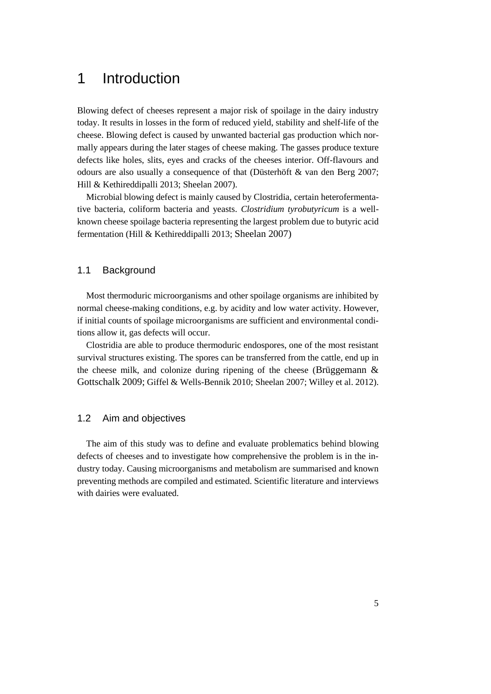# <span id="page-6-0"></span>1 Introduction

Blowing defect of cheeses represent a major risk of spoilage in the dairy industry today. It results in losses in the form of reduced yield, stability and shelf-life of the cheese. Blowing defect is caused by unwanted bacterial gas production which normally appears during the later stages of cheese making. The gasses produce texture defects like holes, slits, eyes and cracks of the cheeses interior. Off-flavours and odours are also usually a consequence of that (Düsterhöft & van den Berg 2007; Hill & Kethireddipalli 2013; Sheelan 2007).

Microbial blowing defect is mainly caused by Clostridia, certain heterofermentative bacteria, coliform bacteria and yeasts. *Clostridium tyrobutyricum* is a wellknown cheese spoilage bacteria representing the largest problem due to butyric acid fermentation (Hill & Kethireddipalli 2013; Sheelan 2007)

## 1.1 Background

Most thermoduric microorganisms and other spoilage organisms are inhibited by normal cheese-making conditions, e.g. by acidity and low water activity. However, if initial counts of spoilage microorganisms are sufficient and environmental conditions allow it, gas defects will occur.

Clostridia are able to produce thermoduric endospores, one of the most resistant survival structures existing. The spores can be transferred from the cattle, end up in the cheese milk, and colonize during ripening of the cheese (Brüggemann  $\&$ Gottschalk 2009; Giffel & Wells-Bennik 2010; Sheelan 2007; Willey et al. 2012).

## 1.2 Aim and objectives

The aim of this study was to define and evaluate problematics behind blowing defects of cheeses and to investigate how comprehensive the problem is in the industry today. Causing microorganisms and metabolism are summarised and known preventing methods are compiled and estimated. Scientific literature and interviews with dairies were evaluated.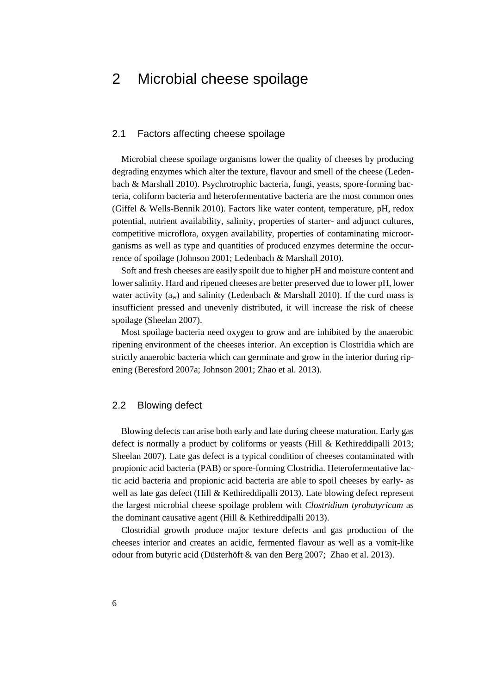# 2 Microbial cheese spoilage

### 2.1 Factors affecting cheese spoilage

Microbial cheese spoilage organisms lower the quality of cheeses by producing degrading enzymes which alter the texture, flavour and smell of the cheese (Ledenbach & Marshall 2010). Psychrotrophic bacteria, fungi, yeasts, spore-forming bacteria, coliform bacteria and heterofermentative bacteria are the most common ones (Giffel & Wells-Bennik 2010). Factors like water content, temperature, pH, redox potential, nutrient availability, salinity, properties of starter- and adjunct cultures, competitive microflora, oxygen availability, properties of contaminating microorganisms as well as type and quantities of produced enzymes determine the occurrence of spoilage (Johnson 2001; Ledenbach & Marshall 2010).

Soft and fresh cheeses are easily spoilt due to higher pH and moisture content and lower salinity. Hard and ripened cheeses are better preserved due to lower pH, lower water activity ( $a_w$ ) and salinity (Ledenbach & Marshall 2010). If the curd mass is insufficient pressed and unevenly distributed, it will increase the risk of cheese spoilage (Sheelan 2007).

Most spoilage bacteria need oxygen to grow and are inhibited by the anaerobic ripening environment of the cheeses interior. An exception is Clostridia which are strictly anaerobic bacteria which can germinate and grow in the interior during ripening (Beresford 2007a; Johnson 2001; Zhao et al. 2013).

## 2.2 Blowing defect

Blowing defects can arise both early and late during cheese maturation. Early gas defect is normally a product by coliforms or yeasts (Hill & Kethireddipalli 2013; Sheelan 2007). Late gas defect is a typical condition of cheeses contaminated with propionic acid bacteria (PAB) or spore-forming Clostridia. Heterofermentative lactic acid bacteria and propionic acid bacteria are able to spoil cheeses by early- as well as late gas defect (Hill & Kethireddipalli 2013). Late blowing defect represent the largest microbial cheese spoilage problem with *Clostridium tyrobutyricum* as the dominant causative agent (Hill & Kethireddipalli 2013).

Clostridial growth produce major texture defects and gas production of the cheeses interior and creates an acidic, fermented flavour as well as a vomit-like odour from butyric acid (Düsterhöft & van den Berg 2007; Zhao et al. 2013).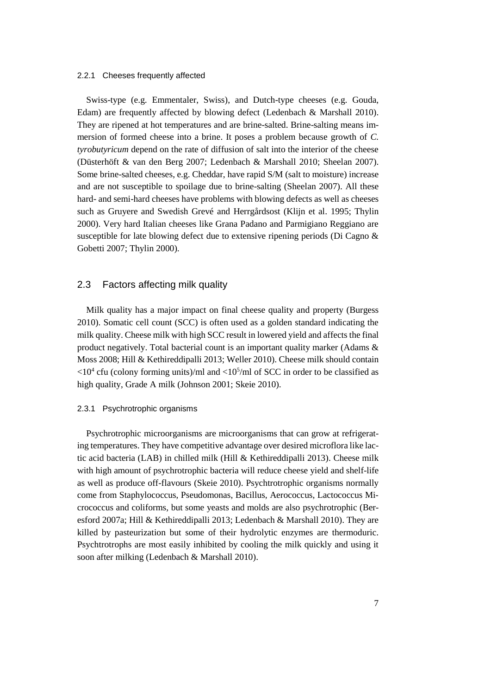#### 2.2.1 Cheeses frequently affected

Swiss-type (e.g. Emmentaler, Swiss), and Dutch-type cheeses (e.g. Gouda, Edam) are frequently affected by blowing defect (Ledenbach & Marshall 2010). They are ripened at hot temperatures and are brine-salted. Brine-salting means immersion of formed cheese into a brine. It poses a problem because growth of *C. tyrobutyricum* depend on the rate of diffusion of salt into the interior of the cheese (Düsterhöft & van den Berg 2007; Ledenbach & Marshall 2010; Sheelan 2007). Some brine-salted cheeses, e.g. Cheddar, have rapid S/M (salt to moisture) increase and are not susceptible to spoilage due to brine-salting (Sheelan 2007). All these hard- and semi-hard cheeses have problems with blowing defects as well as cheeses such as Gruyere and Swedish Grevé and Herrgårdsost (Klijn et al. 1995; Thylin 2000). Very hard Italian cheeses like Grana Padano and Parmigiano Reggiano are susceptible for late blowing defect due to extensive ripening periods (Di Cagno & Gobetti 2007; Thylin 2000).

## 2.3 Factors affecting milk quality

Milk quality has a major impact on final cheese quality and property (Burgess 2010). Somatic cell count (SCC) is often used as a golden standard indicating the milk quality. Cheese milk with high SCC result in lowered yield and affects the final product negatively. Total bacterial count is an important quality marker (Adams & Moss 2008; Hill & Kethireddipalli 2013; Weller 2010). Cheese milk should contain  $\langle 10^4 \text{ cftu}$  (colony forming units)/ml and  $\langle 10^5 \text{/ml} \text{ of } SCC$  in order to be classified as high quality, Grade A milk (Johnson 2001; Skeie 2010).

#### 2.3.1 Psychrotrophic organisms

Psychrotrophic microorganisms are microorganisms that can grow at refrigerating temperatures. They have competitive advantage over desired microflora like lactic acid bacteria (LAB) in chilled milk (Hill & Kethireddipalli 2013). Cheese milk with high amount of psychrotrophic bacteria will reduce cheese yield and shelf-life as well as produce off-flavours (Skeie 2010). Psychtrotrophic organisms normally come from Staphylococcus, Pseudomonas, Bacillus, Aerococcus, Lactococcus Micrococcus and coliforms, but some yeasts and molds are also psychrotrophic (Beresford 2007a; Hill & Kethireddipalli 2013; Ledenbach & Marshall 2010). They are killed by pasteurization but some of their hydrolytic enzymes are thermoduric. Psychtrotrophs are most easily inhibited by cooling the milk quickly and using it soon after milking (Ledenbach & Marshall 2010).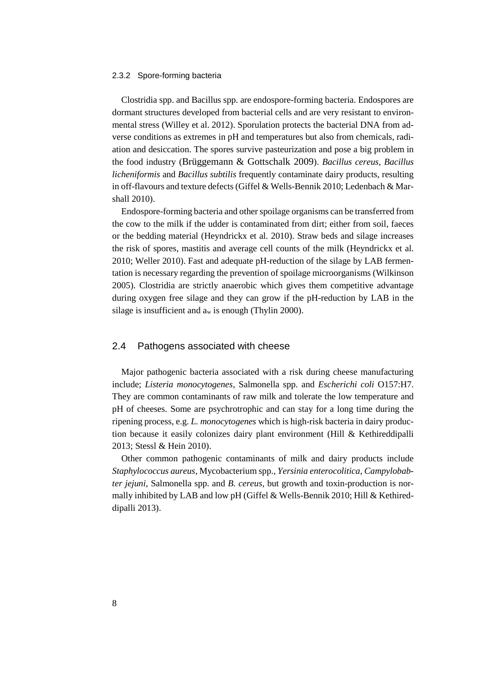#### 2.3.2 Spore-forming bacteria

Clostridia spp. and Bacillus spp. are endospore-forming bacteria. Endospores are dormant structures developed from bacterial cells and are very resistant to environmental stress (Willey et al. 2012). Sporulation protects the bacterial DNA from adverse conditions as extremes in pH and temperatures but also from chemicals, radiation and desiccation. The spores survive pasteurization and pose a big problem in the food industry (Brüggemann & Gottschalk 2009). *Bacillus cereus*, *Bacillus licheniformis* and *Bacillus subtilis* frequently contaminate dairy products, resulting in off-flavours and texture defects (Giffel & Wells-Bennik 2010; Ledenbach & Marshall 2010).

Endospore-forming bacteria and other spoilage organisms can be transferred from the cow to the milk if the udder is contaminated from dirt; either from soil, faeces or the bedding material (Heyndrickx et al. 2010). Straw beds and silage increases the risk of spores, mastitis and average cell counts of the milk (Heyndrickx et al. 2010; Weller 2010). Fast and adequate pH-reduction of the silage by LAB fermentation is necessary regarding the prevention of spoilage microorganisms (Wilkinson 2005). Clostridia are strictly anaerobic which gives them competitive advantage during oxygen free silage and they can grow if the pH-reduction by LAB in the silage is insufficient and a<sup>w</sup> is enough (Thylin 2000).

### 2.4 Pathogens associated with cheese

Major pathogenic bacteria associated with a risk during cheese manufacturing include; *Listeria monocytogenes,* Salmonella spp. and *Escherichi coli* O157:H7. They are common contaminants of raw milk and tolerate the low temperature and pH of cheeses. Some are psychrotrophic and can stay for a long time during the ripening process, e.g. *L. monocytogenes* which is high-risk bacteria in dairy production because it easily colonizes dairy plant environment (Hill & Kethireddipalli 2013; Stessl & Hein 2010).

Other common pathogenic contaminants of milk and dairy products include *Staphylococcus aureus*, Mycobacterium spp., *Yersinia enterocolitica*, *Campylobabter jejuni*, Salmonella spp. and *B. cereus*, but growth and toxin-production is normally inhibited by LAB and low pH (Giffel & Wells-Bennik 2010; Hill & Kethireddipalli 2013).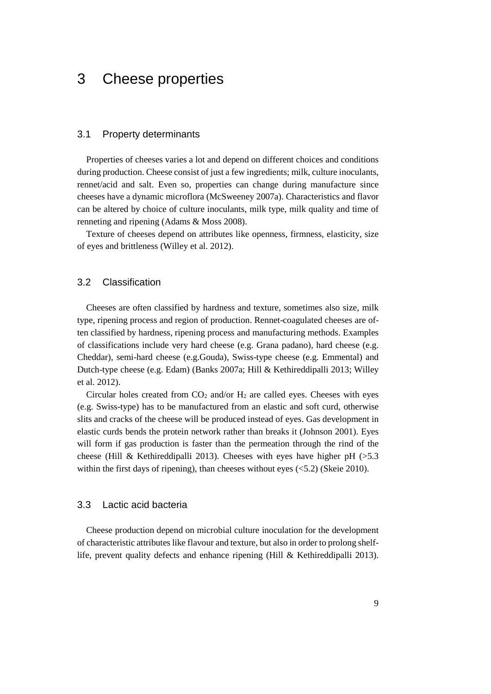# 3 Cheese properties

#### 3.1 Property determinants

Properties of cheeses varies a lot and depend on different choices and conditions during production. Cheese consist of just a few ingredients; milk, culture inoculants, rennet/acid and salt. Even so, properties can change during manufacture since cheeses have a dynamic microflora (McSweeney 2007a). Characteristics and flavor can be altered by choice of culture inoculants, milk type, milk quality and time of renneting and ripening (Adams & Moss 2008).

Texture of cheeses depend on attributes like openness, firmness, elasticity, size of eyes and brittleness (Willey et al. 2012).

### 3.2 Classification

Cheeses are often classified by hardness and texture, sometimes also size, milk type, ripening process and region of production. Rennet-coagulated cheeses are often classified by hardness, ripening process and manufacturing methods. Examples of classifications include very hard cheese (e.g. Grana padano), hard cheese (e.g. Cheddar), semi-hard cheese (e.g.Gouda), Swiss-type cheese (e.g. Emmental) and Dutch-type cheese (e.g. Edam) (Banks 2007a; Hill & Kethireddipalli 2013; Willey et al. 2012).

Circular holes created from  $CO_2$  and/or  $H_2$  are called eyes. Cheeses with eyes (e.g. Swiss-type) has to be manufactured from an elastic and soft curd, otherwise slits and cracks of the cheese will be produced instead of eyes. Gas development in elastic curds bends the protein network rather than breaks it (Johnson 2001). Eyes will form if gas production is faster than the permeation through the rind of the cheese (Hill & Kethireddipalli 2013). Cheeses with eyes have higher pH  $(>5.3)$ within the first days of ripening), than cheeses without eyes (<5.2) (Skeie 2010).

### 3.3 Lactic acid bacteria

Cheese production depend on microbial culture inoculation for the development of characteristic attributes like flavour and texture, but also in order to prolong shelflife, prevent quality defects and enhance ripening (Hill & Kethireddipalli 2013).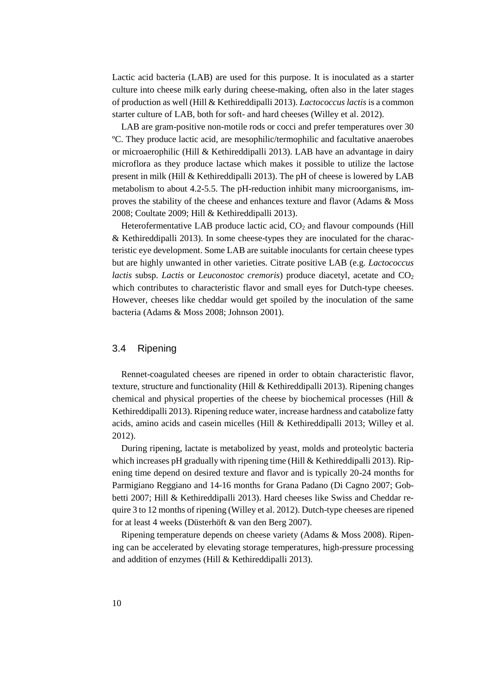Lactic acid bacteria (LAB) are used for this purpose. It is inoculated as a starter culture into cheese milk early during cheese-making, often also in the later stages of production as well (Hill & Kethireddipalli 2013). *Lactococcus lactis* is a common starter culture of LAB, both for soft- and hard cheeses (Willey et al. 2012).

LAB are gram-positive non-motile rods or cocci and prefer temperatures over 30 ºC. They produce lactic acid, are mesophilic/termophilic and facultative anaerobes or microaerophilic (Hill & Kethireddipalli 2013). LAB have an advantage in dairy microflora as they produce lactase which makes it possible to utilize the lactose present in milk (Hill & Kethireddipalli 2013). The pH of cheese is lowered by LAB metabolism to about 4.2-5.5. The pH-reduction inhibit many microorganisms, improves the stability of the cheese and enhances texture and flavor (Adams & Moss 2008; Coultate 2009; Hill & Kethireddipalli 2013).

Heterofermentative LAB produce lactic acid,  $CO<sub>2</sub>$  and flavour compounds (Hill & Kethireddipalli 2013). In some cheese-types they are inoculated for the characteristic eye development. Some LAB are suitable inoculants for certain cheese types but are highly unwanted in other varieties. Citrate positive LAB (e.g. *Lactococcus lactis* subsp. *Lactis* or *Leuconostoc cremoris*) produce diacetyl, acetate and CO<sub>2</sub> which contributes to characteristic flavor and small eyes for Dutch-type cheeses. However, cheeses like cheddar would get spoiled by the inoculation of the same bacteria (Adams & Moss 2008; Johnson 2001).

## 3.4 Ripening

Rennet-coagulated cheeses are ripened in order to obtain characteristic flavor, texture, structure and functionality (Hill & Kethireddipalli 2013). Ripening changes chemical and physical properties of the cheese by biochemical processes (Hill & Kethireddipalli 2013). Ripening reduce water, increase hardness and catabolize fatty acids, amino acids and casein micelles (Hill & Kethireddipalli 2013; Willey et al. 2012).

During ripening, lactate is metabolized by yeast, molds and proteolytic bacteria which increases pH gradually with ripening time (Hill & Kethireddipalli 2013). Ripening time depend on desired texture and flavor and is typically 20-24 months for Parmigiano Reggiano and 14-16 months for Grana Padano (Di Cagno 2007; Gobbetti 2007; Hill & Kethireddipalli 2013). Hard cheeses like Swiss and Cheddar require 3 to 12 months of ripening (Willey et al. 2012). Dutch-type cheeses are ripened for at least 4 weeks (Düsterhöft & van den Berg 2007).

Ripening temperature depends on cheese variety (Adams & Moss 2008). Ripening can be accelerated by elevating storage temperatures, high-pressure processing and addition of enzymes (Hill & Kethireddipalli 2013).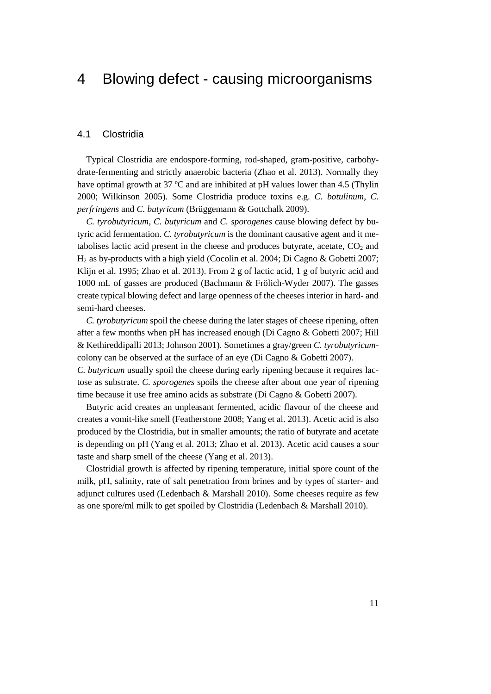## 4 Blowing defect - causing microorganisms

### 4.1 Clostridia

Typical Clostridia are endospore-forming, rod-shaped, gram-positive, carbohydrate-fermenting and strictly anaerobic bacteria (Zhao et al. 2013). Normally they have optimal growth at 37 °C and are inhibited at pH values lower than 4.5 (Thylin 2000; Wilkinson 2005). Some Clostridia produce toxins e.g. *C. botulinum*, *C. perfringens* and *C. butyricum* (Brüggemann & Gottchalk 2009).

*C. tyrobutyricum, C. butyricum* and *C. sporogenes* cause blowing defect by butyric acid fermentation. *C. tyrobutyricum* is the dominant causative agent and it metabolises lactic acid present in the cheese and produces butyrate, acetate,  $CO<sub>2</sub>$  and H2 as by-products with a high yield (Cocolin et al. 2004; Di Cagno & Gobetti 2007; Klijn et al. 1995; Zhao et al. 2013). From 2 g of lactic acid, 1 g of butyric acid and 1000 mL of gasses are produced (Bachmann & Frölich-Wyder 2007). The gasses create typical blowing defect and large openness of the cheeses interior in hard- and semi-hard cheeses.

*C. tyrobutyricum* spoil the cheese during the later stages of cheese ripening, often after a few months when pH has increased enough (Di Cagno & Gobetti 2007; Hill & Kethireddipalli 2013; Johnson 2001). Sometimes a gray/green *C. tyrobutyricum*colony can be observed at the surface of an eye (Di Cagno & Gobetti 2007).

*C. butyricum* usually spoil the cheese during early ripening because it requires lactose as substrate. *C. sporogenes* spoils the cheese after about one year of ripening time because it use free amino acids as substrate (Di Cagno & Gobetti 2007).

Butyric acid creates an unpleasant fermented, acidic flavour of the cheese and creates a vomit-like smell (Featherstone 2008; Yang et al. 2013). Acetic acid is also produced by the Clostridia, but in smaller amounts; the ratio of butyrate and acetate is depending on pH (Yang et al. 2013; Zhao et al. 2013). Acetic acid causes a sour taste and sharp smell of the cheese (Yang et al. 2013).

Clostridial growth is affected by ripening temperature, initial spore count of the milk, pH, salinity, rate of salt penetration from brines and by types of starter- and adjunct cultures used (Ledenbach & Marshall 2010). Some cheeses require as few as one spore/ml milk to get spoiled by Clostridia (Ledenbach & Marshall 2010).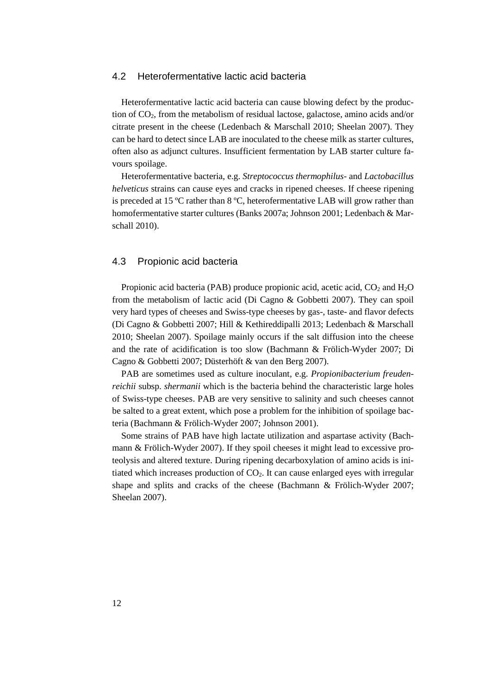### 4.2 Heterofermentative lactic acid bacteria

Heterofermentative lactic acid bacteria can cause blowing defect by the production of CO2, from the metabolism of residual lactose, galactose, amino acids and/or citrate present in the cheese (Ledenbach & Marschall 2010; Sheelan 2007). They can be hard to detect since LAB are inoculated to the cheese milk as starter cultures, often also as adjunct cultures. Insufficient fermentation by LAB starter culture favours spoilage.

Heterofermentative bacteria, e.g. *Streptococcus thermophilus*- and *Lactobacillus helveticus* strains can cause eyes and cracks in ripened cheeses. If cheese ripening is preceded at 15 ºC rather than 8 ºC, heterofermentative LAB will grow rather than homofermentative starter cultures (Banks 2007a; Johnson 2001; Ledenbach & Marschall 2010).

### 4.3 Propionic acid bacteria

Propionic acid bacteria (PAB) produce propionic acid, acetic acid,  $CO<sub>2</sub>$  and  $H<sub>2</sub>O$ from the metabolism of lactic acid (Di Cagno & Gobbetti 2007). They can spoil very hard types of cheeses and Swiss-type cheeses by gas-, taste- and flavor defects (Di Cagno & Gobbetti 2007; Hill & Kethireddipalli 2013; Ledenbach & Marschall 2010; Sheelan 2007). Spoilage mainly occurs if the salt diffusion into the cheese and the rate of acidification is too slow (Bachmann & Frölich-Wyder 2007; Di Cagno & Gobbetti 2007; Düsterhöft & van den Berg 2007).

PAB are sometimes used as culture inoculant, e.g. *Propionibacterium freudenreichii* subsp. *shermanii* which is the bacteria behind the characteristic large holes of Swiss-type cheeses. PAB are very sensitive to salinity and such cheeses cannot be salted to a great extent, which pose a problem for the inhibition of spoilage bacteria (Bachmann & Frölich-Wyder 2007; Johnson 2001).

Some strains of PAB have high lactate utilization and aspartase activity (Bachmann & Frölich-Wyder 2007). If they spoil cheeses it might lead to excessive proteolysis and altered texture. During ripening decarboxylation of amino acids is initiated which increases production of CO2. It can cause enlarged eyes with irregular shape and splits and cracks of the cheese (Bachmann & Frölich-Wyder 2007; Sheelan 2007).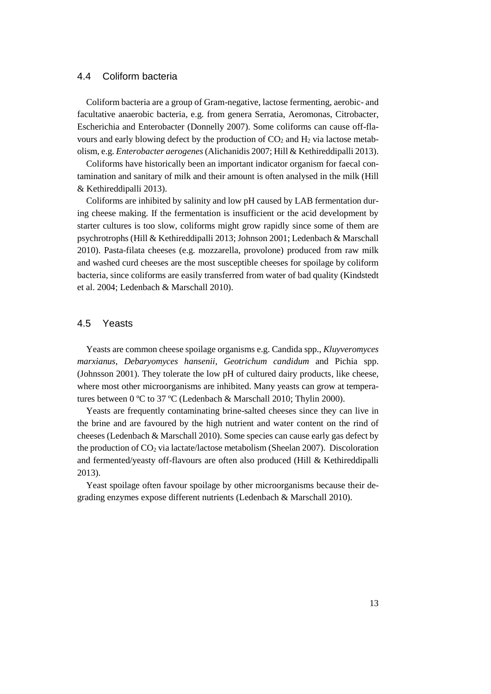## 4.4 Coliform bacteria

Coliform bacteria are a group of Gram-negative, lactose fermenting, aerobic- and facultative anaerobic bacteria, e.g. from genera Serratia, Aeromonas, Citrobacter, Escherichia and Enterobacter (Donnelly 2007). Some coliforms can cause off-flavours and early blowing defect by the production of  $CO<sub>2</sub>$  and  $H<sub>2</sub>$  via lactose metabolism, e.g. *Enterobacter aerogenes*(Alichanidis 2007; Hill & Kethireddipalli 2013).

Coliforms have historically been an important indicator organism for faecal contamination and sanitary of milk and their amount is often analysed in the milk (Hill & Kethireddipalli 2013).

Coliforms are inhibited by salinity and low pH caused by LAB fermentation during cheese making. If the fermentation is insufficient or the acid development by starter cultures is too slow, coliforms might grow rapidly since some of them are psychrotrophs (Hill & Kethireddipalli 2013; Johnson 2001; Ledenbach & Marschall 2010). Pasta-filata cheeses (e.g. mozzarella, provolone) produced from raw milk and washed curd cheeses are the most susceptible cheeses for spoilage by coliform bacteria, since coliforms are easily transferred from water of bad quality (Kindstedt et al. 2004; Ledenbach & Marschall 2010).

## 4.5 Yeasts

Yeasts are common cheese spoilage organisms e.g. Candida spp., *Kluyveromyces marxianus*, *Debaryomyces hansenii*, *Geotrichum candidum* and Pichia spp. (Johnsson 2001). They tolerate the low pH of cultured dairy products, like cheese, where most other microorganisms are inhibited. Many yeasts can grow at temperatures between 0 ºC to 37 ºC (Ledenbach & Marschall 2010; Thylin 2000).

Yeasts are frequently contaminating brine-salted cheeses since they can live in the brine and are favoured by the high nutrient and water content on the rind of cheeses (Ledenbach & Marschall 2010). Some species can cause early gas defect by the production of  $CO<sub>2</sub>$  via lactate/lactose metabolism (Sheelan 2007). Discoloration and fermented/yeasty off-flavours are often also produced (Hill & Kethireddipalli 2013).

Yeast spoilage often favour spoilage by other microorganisms because their degrading enzymes expose different nutrients (Ledenbach & Marschall 2010).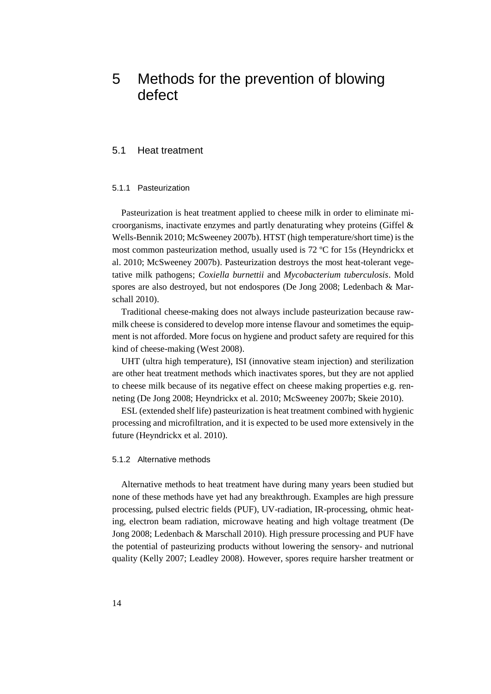# 5 Methods for the prevention of blowing defect

### 5.1 Heat treatment

#### 5.1.1 Pasteurization

Pasteurization is heat treatment applied to cheese milk in order to eliminate microorganisms, inactivate enzymes and partly denaturating whey proteins (Giffel & Wells-Bennik 2010; McSweeney 2007b). HTST (high temperature/short time) is the most common pasteurization method, usually used is 72 ºC for 15s (Heyndrickx et al. 2010; McSweeney 2007b). Pasteurization destroys the most heat-tolerant vegetative milk pathogens; *Coxiella burnettii* and *Mycobacterium tuberculosis*. Mold spores are also destroyed, but not endospores (De Jong 2008; Ledenbach & Marschall 2010).

Traditional cheese-making does not always include pasteurization because rawmilk cheese is considered to develop more intense flavour and sometimes the equipment is not afforded. More focus on hygiene and product safety are required for this kind of cheese-making (West 2008).

UHT (ultra high temperature), ISI (innovative steam injection) and sterilization are other heat treatment methods which inactivates spores, but they are not applied to cheese milk because of its negative effect on cheese making properties e.g. renneting (De Jong 2008; Heyndrickx et al. 2010; McSweeney 2007b; Skeie 2010).

ESL (extended shelf life) pasteurization is heat treatment combined with hygienic processing and microfiltration, and it is expected to be used more extensively in the future (Heyndrickx et al. 2010).

#### 5.1.2 Alternative methods

Alternative methods to heat treatment have during many years been studied but none of these methods have yet had any breakthrough. Examples are high pressure processing, pulsed electric fields (PUF), UV-radiation, IR-processing, ohmic heating, electron beam radiation, microwave heating and high voltage treatment (De Jong 2008; Ledenbach & Marschall 2010). High pressure processing and PUF have the potential of pasteurizing products without lowering the sensory- and nutrional quality (Kelly 2007; Leadley 2008). However, spores require harsher treatment or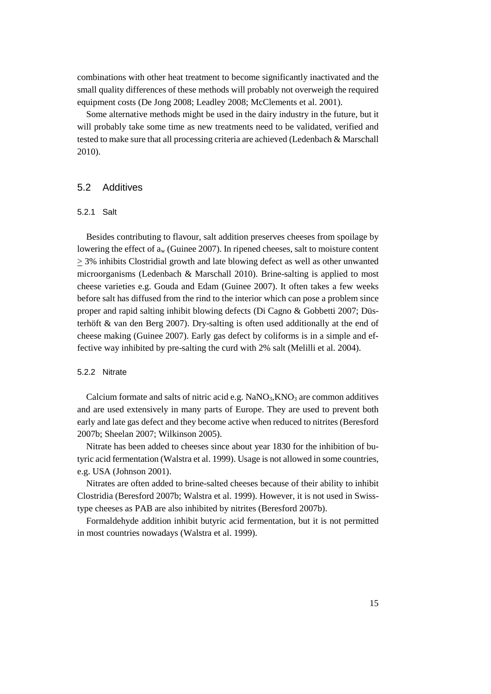combinations with other heat treatment to become significantly inactivated and the small quality differences of these methods will probably not overweigh the required equipment costs (De Jong 2008; Leadley 2008; McClements et al. 2001).

Some alternative methods might be used in the dairy industry in the future, but it will probably take some time as new treatments need to be validated, verified and tested to make sure that all processing criteria are achieved (Ledenbach & Marschall 2010).

## 5.2 Additives

#### 5.2.1 Salt

Besides contributing to flavour, salt addition preserves cheeses from spoilage by lowering the effect of  $a_w$  (Guinee 2007). In ripened cheeses, salt to moisture content > 3% inhibits Clostridial growth and late blowing defect as well as other unwanted microorganisms (Ledenbach & Marschall 2010). Brine-salting is applied to most cheese varieties e.g. Gouda and Edam (Guinee 2007). It often takes a few weeks before salt has diffused from the rind to the interior which can pose a problem since proper and rapid salting inhibit blowing defects (Di Cagno & Gobbetti 2007; Düsterhöft & van den Berg 2007). Dry-salting is often used additionally at the end of cheese making (Guinee 2007). Early gas defect by coliforms is in a simple and effective way inhibited by pre-salting the curd with 2% salt (Melilli et al. 2004).

#### 5.2.2 Nitrate

Calcium formate and salts of nitric acid e.g.  $NaNO<sub>3</sub>, KNO<sub>3</sub>$  are common additives and are used extensively in many parts of Europe. They are used to prevent both early and late gas defect and they become active when reduced to nitrites (Beresford 2007b; Sheelan 2007; Wilkinson 2005).

Nitrate has been added to cheeses since about year 1830 for the inhibition of butyric acid fermentation (Walstra et al. 1999). Usage is not allowed in some countries, e.g. USA (Johnson 2001).

Nitrates are often added to brine-salted cheeses because of their ability to inhibit Clostridia (Beresford 2007b; Walstra et al. 1999). However, it is not used in Swisstype cheeses as PAB are also inhibited by nitrites (Beresford 2007b).

Formaldehyde addition inhibit butyric acid fermentation, but it is not permitted in most countries nowadays (Walstra et al. 1999).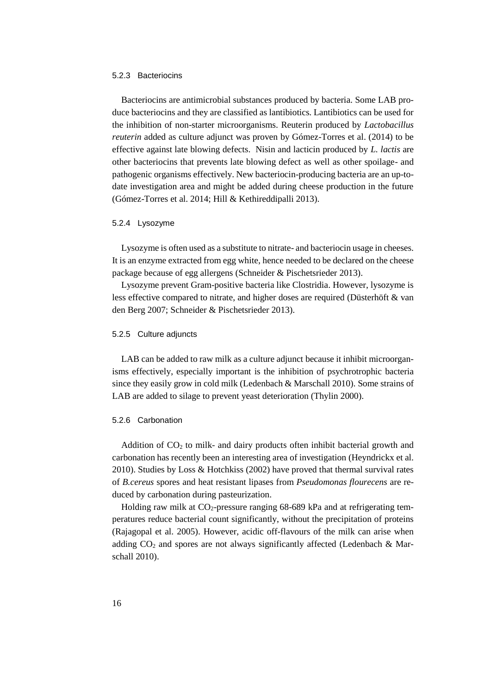#### 5.2.3 Bacteriocins

Bacteriocins are antimicrobial substances produced by bacteria. Some LAB produce bacteriocins and they are classified as lantibiotics. Lantibiotics can be used for the inhibition of non-starter microorganisms. Reuterin produced by *Lactobacillus reuterin* added as culture adjunct was proven by Gómez-Torres et al. (2014) to be effective against late blowing defects. Nisin and lacticin produced by *L. lactis* are other bacteriocins that prevents late blowing defect as well as other spoilage- and pathogenic organisms effectively. New bacteriocin-producing bacteria are an up-todate investigation area and might be added during cheese production in the future (Gómez-Torres et al. 2014; Hill & Kethireddipalli 2013).

#### 5.2.4 Lysozyme

Lysozyme is often used as a substitute to nitrate- and bacteriocin usage in cheeses. It is an enzyme extracted from egg white, hence needed to be declared on the cheese package because of egg allergens (Schneider & Pischetsrieder 2013).

Lysozyme prevent Gram-positive bacteria like Clostridia. However, lysozyme is less effective compared to nitrate, and higher doses are required (Düsterhöft & van den Berg 2007; Schneider & Pischetsrieder 2013).

#### 5.2.5 Culture adjuncts

LAB can be added to raw milk as a culture adjunct because it inhibit microorganisms effectively, especially important is the inhibition of psychrotrophic bacteria since they easily grow in cold milk (Ledenbach & Marschall 2010). Some strains of LAB are added to silage to prevent yeast deterioration (Thylin 2000).

#### 5.2.6 Carbonation

Addition of  $CO<sub>2</sub>$  to milk- and dairy products often inhibit bacterial growth and carbonation has recently been an interesting area of investigation (Heyndrickx et al. 2010). Studies by Loss & Hotchkiss (2002) have proved that thermal survival rates of *B.cereus* spores and heat resistant lipases from *Pseudomonas flourecens* are reduced by carbonation during pasteurization.

Holding raw milk at  $CO_2$ -pressure ranging 68-689 kPa and at refrigerating temperatures reduce bacterial count significantly, without the precipitation of proteins (Rajagopal et al. 2005). However, acidic off-flavours of the milk can arise when adding  $CO<sub>2</sub>$  and spores are not always significantly affected (Ledenbach & Marschall 2010).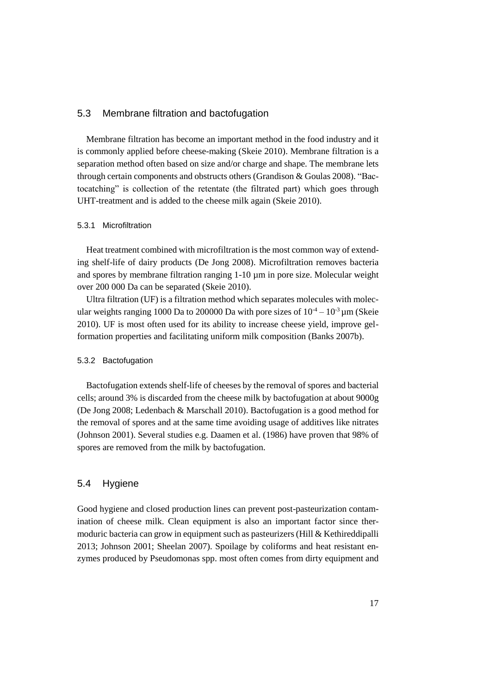### 5.3 Membrane filtration and bactofugation

Membrane filtration has become an important method in the food industry and it is commonly applied before cheese-making (Skeie 2010). Membrane filtration is a separation method often based on size and/or charge and shape. The membrane lets through certain components and obstructs others (Grandison & Goulas 2008). "Bactocatching" is collection of the retentate (the filtrated part) which goes through UHT-treatment and is added to the cheese milk again (Skeie 2010).

#### 5.3.1 Microfiltration

Heat treatment combined with microfiltration is the most common way of extending shelf-life of dairy products (De Jong 2008). Microfiltration removes bacteria and spores by membrane filtration ranging 1-10 µm in pore size. Molecular weight over 200 000 Da can be separated (Skeie 2010).

Ultra filtration (UF) is a filtration method which separates molecules with molecular weights ranging 1000 Da to 200000 Da with pore sizes of  $10^{-4} - 10^{-3}$  µm (Skeie 2010). UF is most often used for its ability to increase cheese yield, improve gelformation properties and facilitating uniform milk composition (Banks 2007b).

#### 5.3.2 Bactofugation

Bactofugation extends shelf-life of cheeses by the removal of spores and bacterial cells; around 3% is discarded from the cheese milk by bactofugation at about 9000g (De Jong 2008; Ledenbach & Marschall 2010). Bactofugation is a good method for the removal of spores and at the same time avoiding usage of additives like nitrates (Johnson 2001). Several studies e.g. Daamen et al. (1986) have proven that 98% of spores are removed from the milk by bactofugation.

### 5.4 Hygiene

Good hygiene and closed production lines can prevent post-pasteurization contamination of cheese milk. Clean equipment is also an important factor since thermoduric bacteria can grow in equipment such as pasteurizers (Hill & Kethireddipalli 2013; Johnson 2001; Sheelan 2007). Spoilage by coliforms and heat resistant enzymes produced by Pseudomonas spp. most often comes from dirty equipment and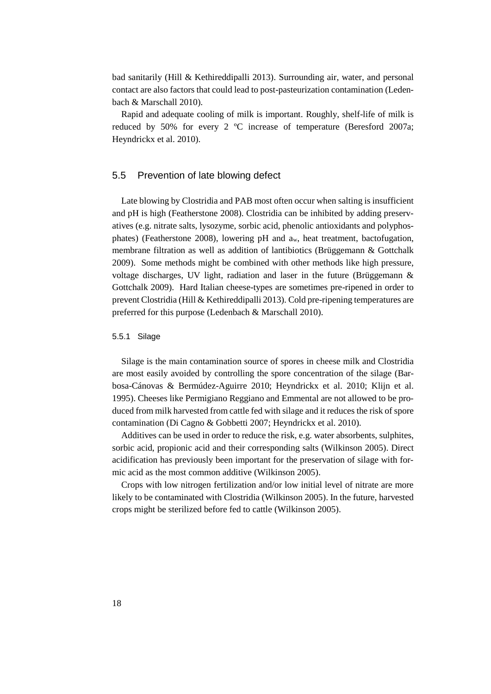bad sanitarily (Hill & Kethireddipalli 2013). Surrounding air, water, and personal contact are also factors that could lead to post-pasteurization contamination (Ledenbach & Marschall 2010).

Rapid and adequate cooling of milk is important. Roughly, shelf-life of milk is reduced by 50% for every 2 ºC increase of temperature (Beresford 2007a; Heyndrickx et al. 2010).

## 5.5 Prevention of late blowing defect

Late blowing by Clostridia and PAB most often occur when salting is insufficient and pH is high (Featherstone 2008). Clostridia can be inhibited by adding preservatives (e.g. nitrate salts, lysozyme, sorbic acid, phenolic antioxidants and polyphosphates) (Featherstone 2008), lowering pH and aw, heat treatment, bactofugation, membrane filtration as well as addition of lantibiotics (Brüggemann & Gottchalk 2009). Some methods might be combined with other methods like high pressure, voltage discharges, UV light, radiation and laser in the future (Brüggemann & Gottchalk 2009). Hard Italian cheese-types are sometimes pre-ripened in order to prevent Clostridia (Hill & Kethireddipalli 2013). Cold pre-ripening temperatures are preferred for this purpose (Ledenbach & Marschall 2010).

#### 5.5.1 Silage

Silage is the main contamination source of spores in cheese milk and Clostridia are most easily avoided by controlling the spore concentration of the silage (Barbosa-Cánovas & Bermúdez-Aguirre 2010; Heyndrickx et al. 2010; Klijn et al. 1995). Cheeses like Permigiano Reggiano and Emmental are not allowed to be produced from milk harvested from cattle fed with silage and it reduces the risk of spore contamination (Di Cagno & Gobbetti 2007; Heyndrickx et al. 2010).

Additives can be used in order to reduce the risk, e.g. water absorbents, sulphites, sorbic acid, propionic acid and their corresponding salts (Wilkinson 2005). Direct acidification has previously been important for the preservation of silage with formic acid as the most common additive (Wilkinson 2005).

Crops with low nitrogen fertilization and/or low initial level of nitrate are more likely to be contaminated with Clostridia (Wilkinson 2005). In the future, harvested crops might be sterilized before fed to cattle (Wilkinson 2005).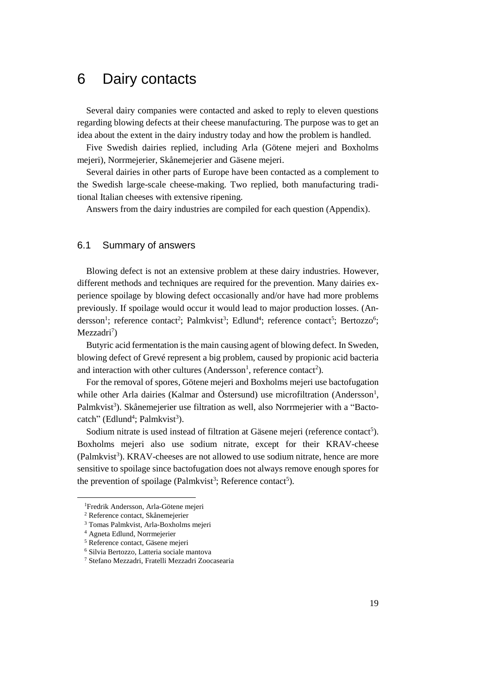## 6 Dairy contacts

Several dairy companies were contacted and asked to reply to eleven questions regarding blowing defects at their cheese manufacturing. The purpose was to get an idea about the extent in the dairy industry today and how the problem is handled.

Five Swedish dairies replied, including Arla (Götene mejeri and Boxholms mejeri), Norrmejerier, Skånemejerier and Gäsene mejeri.

Several dairies in other parts of Europe have been contacted as a complement to the Swedish large-scale cheese-making. Two replied, both manufacturing traditional Italian cheeses with extensive ripening.

Answers from the dairy industries are compiled for each question (Appendix).

## 6.1 Summary of answers

Blowing defect is not an extensive problem at these dairy industries. However, different methods and techniques are required for the prevention. Many dairies experience spoilage by blowing defect occasionally and/or have had more problems previously. If spoilage would occur it would lead to major production losses. (Andersson<sup>1</sup>; reference contact<sup>2</sup>; Palmkvist<sup>3</sup>; Edlund<sup>4</sup>; reference contact<sup>5</sup>; Bertozzo<sup>6</sup>; Mezzadri<sup>7</sup>)

Butyric acid fermentation is the main causing agent of blowing defect. In Sweden, blowing defect of Grevé represent a big problem, caused by propionic acid bacteria and interaction with other cultures (Andersson<sup>1</sup>, reference contact<sup>2</sup>).

For the removal of spores, Götene mejeri and Boxholms mejeri use bactofugation while other Arla dairies (Kalmar and Östersund) use microfiltration (Andersson<sup>1</sup>, Palmkvist<sup>3</sup>). Skånemejerier use filtration as well, also Norrmejerier with a "Bactocatch" (Edlund<sup>4</sup>; Palmkvist<sup>3</sup>).

Sodium nitrate is used instead of filtration at Gäsene mejeri (reference contact<sup>5</sup>). Boxholms mejeri also use sodium nitrate, except for their KRAV-cheese (Palmkvist<sup>3</sup>). KRAV-cheeses are not allowed to use sodium nitrate, hence are more sensitive to spoilage since bactofugation does not always remove enough spores for the prevention of spoilage (Palmkvist<sup>3</sup>; Reference contact<sup>5</sup>).

 $\overline{a}$ 

<sup>1</sup>Fredrik Andersson, Arla-Götene mejeri

<sup>2</sup> Reference contact, Skånemejerier

<sup>3</sup> Tomas Palmkvist, Arla-Boxholms mejeri

<sup>4</sup> Agneta Edlund, Norrmejerier

<sup>5</sup> Reference contact, Gäsene mejeri

<sup>6</sup> Silvia Bertozzo, Latteria sociale mantova

<sup>7</sup> Stefano Mezzadri, Fratelli Mezzadri Zoocasearia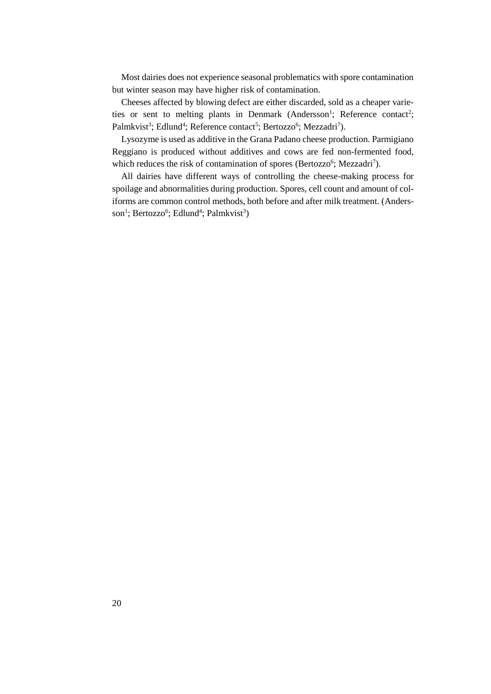Most dairies does not experience seasonal problematics with spore contamination but winter season may have higher risk of contamination.

Cheeses affected by blowing defect are either discarded, sold as a cheaper varieties or sent to melting plants in Denmark (Andersson<sup>1</sup>; Reference contact<sup>2</sup>; Palmkvist<sup>3</sup>; Edlund<sup>4</sup>; Reference contact<sup>5</sup>; Bertozzo<sup>6</sup>; Mezzadri<sup>7</sup>).

Lysozyme is used as additive in the Grana Padano cheese production. Parmigiano Reggiano is produced without additives and cows are fed non-fermented food, which reduces the risk of contamination of spores (Bertozzo<sup>6</sup>; Mezzadri<sup>7</sup>).

All dairies have different ways of controlling the cheese-making process for spoilage and abnormalities during production. Spores, cell count and amount of coliforms are common control methods, both before and after milk treatment. (Andersson<sup>1</sup>; Bertozzo<sup>6</sup>; Edlund<sup>4</sup>; Palmkvist<sup>3</sup>)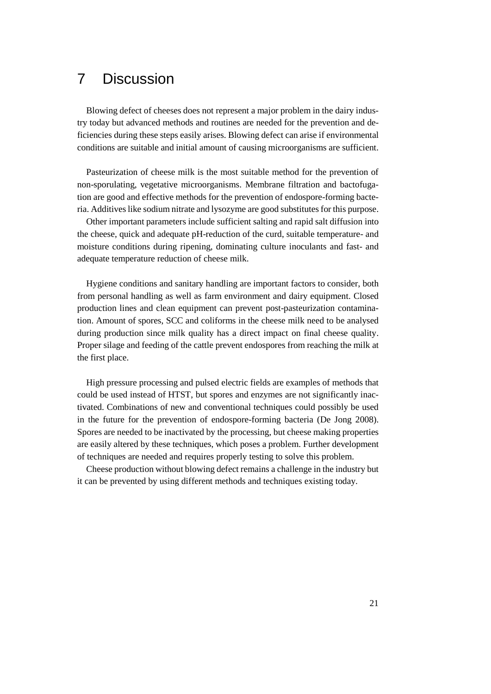# 7 Discussion

Blowing defect of cheeses does not represent a major problem in the dairy industry today but advanced methods and routines are needed for the prevention and deficiencies during these steps easily arises. Blowing defect can arise if environmental conditions are suitable and initial amount of causing microorganisms are sufficient.

Pasteurization of cheese milk is the most suitable method for the prevention of non-sporulating, vegetative microorganisms. Membrane filtration and bactofugation are good and effective methods for the prevention of endospore-forming bacteria. Additives like sodium nitrate and lysozyme are good substitutesfor this purpose.

Other important parameters include sufficient salting and rapid salt diffusion into the cheese, quick and adequate pH-reduction of the curd, suitable temperature- and moisture conditions during ripening, dominating culture inoculants and fast- and adequate temperature reduction of cheese milk.

Hygiene conditions and sanitary handling are important factors to consider, both from personal handling as well as farm environment and dairy equipment. Closed production lines and clean equipment can prevent post-pasteurization contamination. Amount of spores, SCC and coliforms in the cheese milk need to be analysed during production since milk quality has a direct impact on final cheese quality. Proper silage and feeding of the cattle prevent endospores from reaching the milk at the first place.

High pressure processing and pulsed electric fields are examples of methods that could be used instead of HTST, but spores and enzymes are not significantly inactivated. Combinations of new and conventional techniques could possibly be used in the future for the prevention of endospore-forming bacteria (De Jong 2008). Spores are needed to be inactivated by the processing, but cheese making properties are easily altered by these techniques, which poses a problem. Further development of techniques are needed and requires properly testing to solve this problem.

Cheese production without blowing defect remains a challenge in the industry but it can be prevented by using different methods and techniques existing today.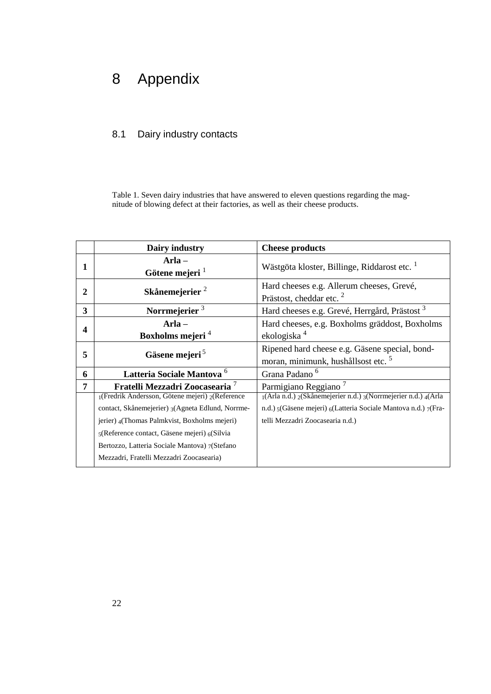# 8 Appendix

## 8.1 Dairy industry contacts

Table 1. Seven dairy industries that have answered to eleven questions regarding the magnitude of blowing defect at their factories, as well as their cheese products.

|                         | Dairy industry                                          | <b>Cheese products</b>                                                                           |
|-------------------------|---------------------------------------------------------|--------------------------------------------------------------------------------------------------|
|                         | $Arla -$<br>Götene mejeri $1$                           | Wästgöta kloster, Billinge, Riddarost etc. <sup>1</sup>                                          |
| 2                       | Skånemejerier <sup>2</sup>                              | Hard cheeses e.g. Allerum cheeses, Grevé,<br>Prästost, cheddar etc. <sup>2</sup>                 |
| $\overline{\mathbf{3}}$ | Norrmejerier <sup>3</sup>                               | Hard cheeses e.g. Grevé, Herrgård, Prästost <sup>3</sup>                                         |
| 4                       | $Arla -$<br>Boxholms mejeri <sup>4</sup>                | Hard cheeses, e.g. Boxholms gräddost, Boxholms<br>ekologiska <sup>4</sup>                        |
| 5                       | Gäsene mejeri <sup>5</sup>                              | Ripened hard cheese e.g. Gäsene special, bond-<br>moran, minimunk, hushållsost etc. <sup>5</sup> |
| 6                       | Latteria Sociale Mantova <sup>6</sup>                   | Grana Padano <sup>6</sup>                                                                        |
| 7                       | Fratelli Mezzadri Zoocasearia <sup>7</sup>              | Parmigiano Reggiano <sup>7</sup>                                                                 |
|                         | $_1$ (Fredrik Andersson, Götene mejeri) $_2$ (Reference | 1(Arla n.d.) 2(Skånemejerier n.d.) 3(Norrmejerier n.d.) 4(Arla                                   |
|                         | contact, Skånemejerier) 3(Agneta Edlund, Norrme-        | n.d.) 5(Gäsene mejeri) 6(Latteria Sociale Mantova n.d.) 7(Fra-                                   |
|                         | jerier) 4(Thomas Palmkvist, Boxholms mejeri)            | telli Mezzadri Zoocasearia n.d.)                                                                 |
|                         | 5(Reference contact, Gäsene mejeri) 6(Silvia            |                                                                                                  |
|                         | Bertozzo, Latteria Sociale Mantova) 7(Stefano           |                                                                                                  |
|                         | Mezzadri, Fratelli Mezzadri Zoocasearia)                |                                                                                                  |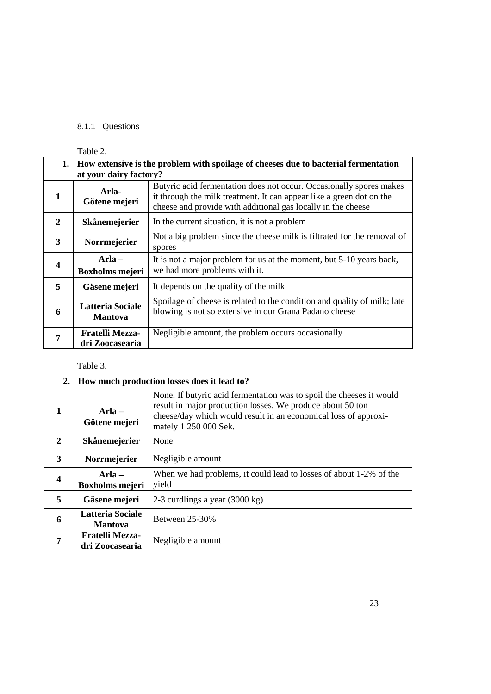## 8.1.1 Questions

|    | Table 2.                                                                                                      |                                                                                                                                                                                                             |
|----|---------------------------------------------------------------------------------------------------------------|-------------------------------------------------------------------------------------------------------------------------------------------------------------------------------------------------------------|
| 1. | How extensive is the problem with spoilage of cheeses due to bacterial fermentation<br>at your dairy factory? |                                                                                                                                                                                                             |
| 1  | Arla-<br>Götene mejeri                                                                                        | Butyric acid fermentation does not occur. Occasionally spores makes<br>it through the milk treatment. It can appear like a green dot on the<br>cheese and provide with additional gas locally in the cheese |
| 2  | Skånemejerier                                                                                                 | In the current situation, it is not a problem                                                                                                                                                               |
| 3  | Norrmejerier                                                                                                  | Not a big problem since the cheese milk is filtrated for the removal of<br>spores                                                                                                                           |
| 4  | $Arla -$<br><b>Boxholms mejeri</b>                                                                            | It is not a major problem for us at the moment, but 5-10 years back,<br>we had more problems with it.                                                                                                       |
| 5  | Gäsene mejeri                                                                                                 | It depends on the quality of the milk                                                                                                                                                                       |
| 6  | <b>Latteria Sociale</b><br><b>Mantova</b>                                                                     | Spoilage of cheese is related to the condition and quality of milk; late<br>blowing is not so extensive in our Grana Padano cheese                                                                          |
| 7  | <b>Fratelli Mezza-</b><br>dri Zoocasearia                                                                     | Negligible amount, the problem occurs occasionally                                                                                                                                                          |

## Table 3.

|   |                                           | 2. How much production losses does it lead to?                                                                                                                                                                                 |
|---|-------------------------------------------|--------------------------------------------------------------------------------------------------------------------------------------------------------------------------------------------------------------------------------|
| 1 | $Arla -$<br>Götene mejeri                 | None. If butyric acid fermentation was to spoil the cheeses it would<br>result in major production losses. We produce about 50 ton<br>cheese/day which would result in an economical loss of approxi-<br>mately 1 250 000 Sek. |
| 2 | <b>Skånemejerier</b>                      | None                                                                                                                                                                                                                           |
| 3 | <b>Norrmejerier</b>                       | Negligible amount                                                                                                                                                                                                              |
| 4 | $Arla -$<br><b>Boxholms mejeri</b>        | When we had problems, it could lead to losses of about 1-2% of the<br>yield                                                                                                                                                    |
| 5 | Gäsene mejeri                             | 2-3 curdlings a year (3000 kg)                                                                                                                                                                                                 |
| 6 | Latteria Sociale<br><b>Mantova</b>        | <b>Between 25-30%</b>                                                                                                                                                                                                          |
| 7 | <b>Fratelli Mezza-</b><br>dri Zoocasearia | Negligible amount                                                                                                                                                                                                              |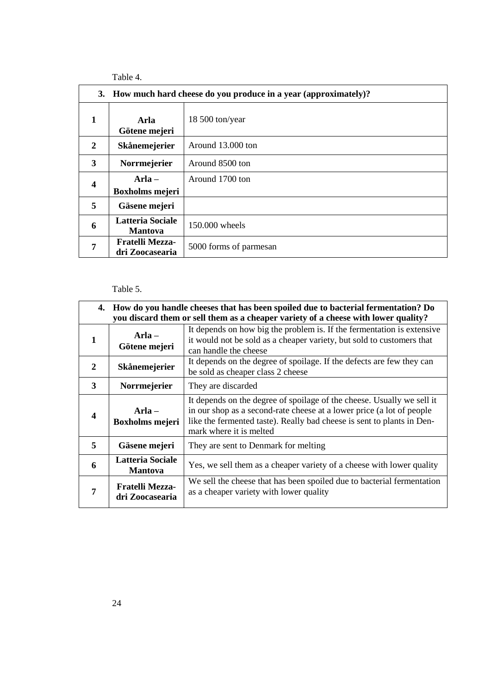Table 4.

| 3. How much hard cheese do you produce in a year (approximately)? |                                           |                        |
|-------------------------------------------------------------------|-------------------------------------------|------------------------|
| 1                                                                 | Arla<br>Götene mejeri                     | 18 500 ton/year        |
| 2                                                                 | Skånemejerier                             | Around 13.000 ton      |
| 3                                                                 | Norrmejerier                              | Around 8500 ton        |
| $\overline{\mathbf{4}}$                                           | $Arla -$<br><b>Boxholms mejeri</b>        | Around 1700 ton        |
| 5                                                                 | Gäsene mejeri                             |                        |
| 6                                                                 | <b>Latteria Sociale</b><br><b>Mantova</b> | 150,000 wheels         |
| 7                                                                 | <b>Fratelli Mezza-</b><br>dri Zoocasearia | 5000 forms of parmesan |

## Table 5.

| 4.               |                                           | How do you handle cheeses that has been spoiled due to bacterial fermentation? Do<br>you discard them or sell them as a cheaper variety of a cheese with lower quality?                                                                              |
|------------------|-------------------------------------------|------------------------------------------------------------------------------------------------------------------------------------------------------------------------------------------------------------------------------------------------------|
| 1                | $Arla -$<br>Götene mejeri                 | It depends on how big the problem is. If the fermentation is extensive<br>it would not be sold as a cheaper variety, but sold to customers that<br>can handle the cheese                                                                             |
| $\mathbf{2}$     | Skånemejerier                             | It depends on the degree of spoilage. If the defects are few they can<br>be sold as cheaper class 2 cheese                                                                                                                                           |
| 3                | <b>Norrmejerier</b>                       | They are discarded                                                                                                                                                                                                                                   |
| $\boldsymbol{4}$ | $Arla -$<br><b>Boxholms mejeri</b>        | It depends on the degree of spoilage of the cheese. Usually we sell it<br>in our shop as a second-rate cheese at a lower price (a lot of people<br>like the fermented taste). Really bad cheese is sent to plants in Den-<br>mark where it is melted |
| 5                | Gäsene mejeri                             | They are sent to Denmark for melting                                                                                                                                                                                                                 |
| 6                | <b>Latteria Sociale</b><br><b>Mantova</b> | Yes, we sell them as a cheaper variety of a cheese with lower quality                                                                                                                                                                                |
| 7                | <b>Fratelli Mezza-</b><br>dri Zoocasearia | We sell the cheese that has been spoiled due to bacterial fermentation<br>as a cheaper variety with lower quality                                                                                                                                    |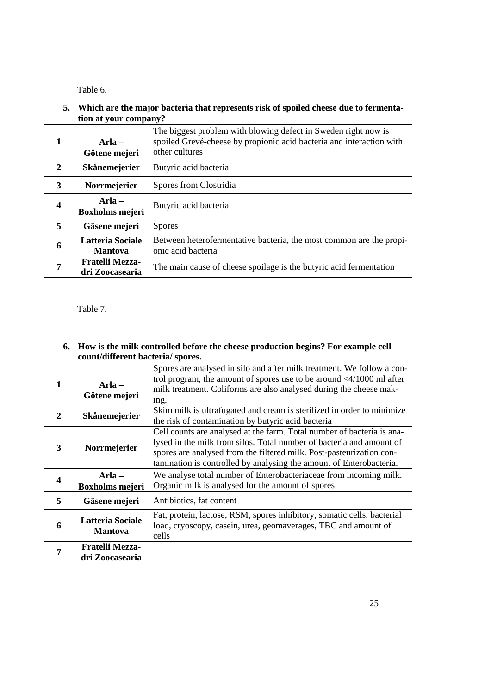Table 6.

|                         | 5. Which are the major bacteria that represents risk of spoiled cheese due to fermenta-<br>tion at your company? |                                                                                                                                                          |
|-------------------------|------------------------------------------------------------------------------------------------------------------|----------------------------------------------------------------------------------------------------------------------------------------------------------|
| 1                       | Arla $-$<br>Götene mejeri                                                                                        | The biggest problem with blowing defect in Sweden right now is<br>spoiled Grevé-cheese by propionic acid bacteria and interaction with<br>other cultures |
| $\mathbf{2}$            | <b>Skånemejerier</b>                                                                                             | Butyric acid bacteria                                                                                                                                    |
| 3                       | <b>Norrmejerier</b>                                                                                              | Spores from Clostridia                                                                                                                                   |
| $\overline{\mathbf{4}}$ | Arla-<br><b>Boxholms mejeri</b>                                                                                  | Butyric acid bacteria                                                                                                                                    |
| 5                       | Gäsene mejeri                                                                                                    | <b>Spores</b>                                                                                                                                            |
| 6                       | <b>Latteria Sociale</b><br><b>Mantova</b>                                                                        | Between heterofermentative bacteria, the most common are the propi-<br>onic acid bacteria                                                                |
| 7                       | <b>Fratelli Mezza-</b><br>dri Zoocasearia                                                                        | The main cause of cheese spoilage is the butyric acid fermentation                                                                                       |

## Table 7.

|              | 6. How is the milk controlled before the cheese production begins? For example cell<br>count/different bacteria/ spores. |                                                                                                                                                                                                                                                                                               |  |
|--------------|--------------------------------------------------------------------------------------------------------------------------|-----------------------------------------------------------------------------------------------------------------------------------------------------------------------------------------------------------------------------------------------------------------------------------------------|--|
| 1            | $Arla -$<br>Götene mejeri                                                                                                | Spores are analysed in silo and after milk treatment. We follow a con-<br>trol program, the amount of spores use to be around $\langle 4/1000 \text{ ml after} \rangle$<br>milk treatment. Coliforms are also analysed during the cheese mak-<br>ing.                                         |  |
| $\mathbf{2}$ | <b>Skånemejerier</b>                                                                                                     | Skim milk is ultrafugated and cream is sterilized in order to minimize<br>the risk of contamination by butyric acid bacteria                                                                                                                                                                  |  |
| 3            | Norrmejerier                                                                                                             | Cell counts are analysed at the farm. Total number of bacteria is ana-<br>lysed in the milk from silos. Total number of bacteria and amount of<br>spores are analysed from the filtered milk. Post-pasteurization con-<br>tamination is controlled by analysing the amount of Enterobacteria. |  |
| 4            | $Arla -$<br><b>Boxholms mejeri</b>                                                                                       | We analyse total number of Enterobacteriaceae from incoming milk.<br>Organic milk is analysed for the amount of spores                                                                                                                                                                        |  |
| 5            | Gäsene mejeri                                                                                                            | Antibiotics, fat content                                                                                                                                                                                                                                                                      |  |
| 6            | <b>Latteria Sociale</b><br><b>Mantova</b>                                                                                | Fat, protein, lactose, RSM, spores inhibitory, somatic cells, bacterial<br>load, cryoscopy, casein, urea, geomaverages, TBC and amount of<br>cells                                                                                                                                            |  |
| 7            | <b>Fratelli Mezza-</b><br>dri Zoocasearia                                                                                |                                                                                                                                                                                                                                                                                               |  |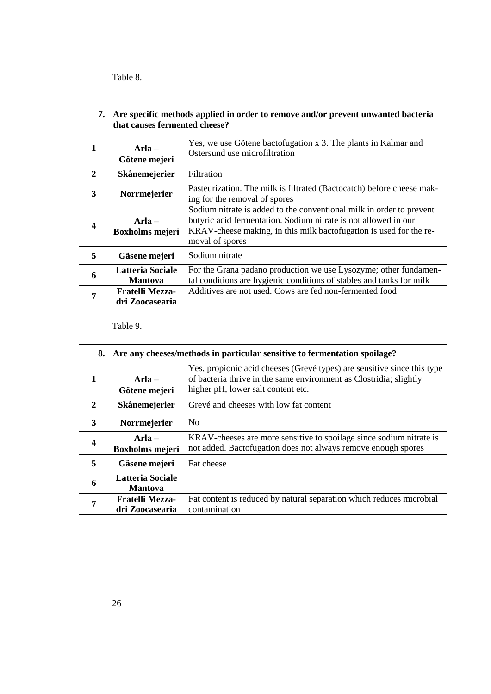Table 8.

|                  | 7. Are specific methods applied in order to remove and/or prevent unwanted bacteria<br>that causes fermented cheese? |                                                                                                                                                                                                                                  |  |
|------------------|----------------------------------------------------------------------------------------------------------------------|----------------------------------------------------------------------------------------------------------------------------------------------------------------------------------------------------------------------------------|--|
| $\mathbf{1}$     | $Arla -$<br>Götene mejeri                                                                                            | Yes, we use Götene bactofugation x 3. The plants in Kalmar and<br>Östersund use microfiltration                                                                                                                                  |  |
| $\mathbf{2}$     | Skånemejerier                                                                                                        | Filtration                                                                                                                                                                                                                       |  |
| 3                | Norrmejerier                                                                                                         | Pasteurization. The milk is filtrated (Bactocatch) before cheese mak-<br>ing for the removal of spores                                                                                                                           |  |
| $\boldsymbol{4}$ | Arla $-$<br><b>Boxholms mejeri</b>                                                                                   | Sodium nitrate is added to the conventional milk in order to prevent<br>butyric acid fermentation. Sodium nitrate is not allowed in our<br>KRAV-cheese making, in this milk bactofugation is used for the re-<br>moval of spores |  |
| 5                | Gäsene mejeri                                                                                                        | Sodium nitrate                                                                                                                                                                                                                   |  |
| 6                | Latteria Sociale<br><b>Mantova</b>                                                                                   | For the Grana padano production we use Lysozyme; other fundamen-<br>tal conditions are hygienic conditions of stables and tanks for milk                                                                                         |  |
| 7                | <b>Fratelli Mezza-</b><br>dri Zoocasearia                                                                            | Additives are not used. Cows are fed non-fermented food                                                                                                                                                                          |  |

Table 9.

| 8.                      | Are any cheeses/methods in particular sensitive to fermentation spoilage? |                                                                                                                                                                                     |
|-------------------------|---------------------------------------------------------------------------|-------------------------------------------------------------------------------------------------------------------------------------------------------------------------------------|
| 1                       | $Arla -$<br>Götene mejeri                                                 | Yes, propionic acid cheeses (Grevé types) are sensitive since this type<br>of bacteria thrive in the same environment as Clostridia; slightly<br>higher pH, lower salt content etc. |
| 2                       | Skånemejerier                                                             | Grevé and cheeses with low fat content                                                                                                                                              |
| 3                       | Norrmejerier                                                              | N <sub>0</sub>                                                                                                                                                                      |
| $\overline{\mathbf{4}}$ | $Arla -$<br><b>Boxholms mejeri</b>                                        | KRAV-cheeses are more sensitive to spoilage since sodium nitrate is<br>not added. Bactofugation does not always remove enough spores                                                |
| 5                       | Gäsene mejeri                                                             | Fat cheese                                                                                                                                                                          |
| 6                       | <b>Latteria Sociale</b><br><b>Mantova</b>                                 |                                                                                                                                                                                     |
| 7                       | <b>Fratelli Mezza-</b><br>dri Zoocasearia                                 | Fat content is reduced by natural separation which reduces microbial<br>contamination                                                                                               |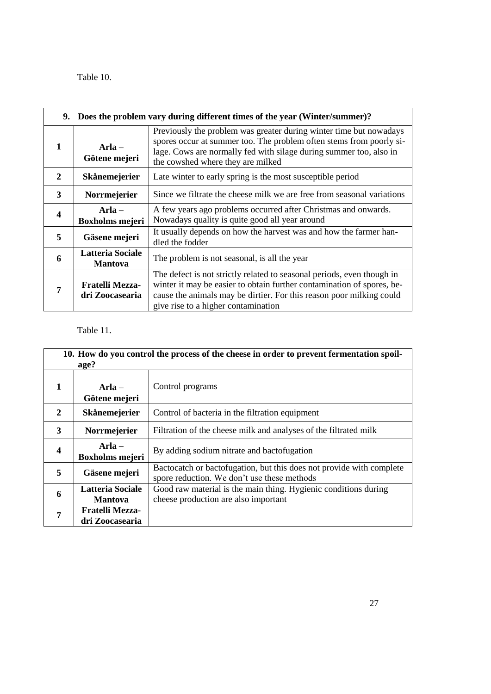## Table 10.

|                         |                                           | 9. Does the problem vary during different times of the year (Winter/summer)?                                                                                                                                                                                    |
|-------------------------|-------------------------------------------|-----------------------------------------------------------------------------------------------------------------------------------------------------------------------------------------------------------------------------------------------------------------|
| 1                       | $Arla -$<br>Götene mejeri                 | Previously the problem was greater during winter time but nowadays<br>spores occur at summer too. The problem often stems from poorly si-<br>lage. Cows are normally fed with silage during summer too, also in<br>the cowshed where they are milked            |
| $\mathbf{2}$            | <b>Skånemejerier</b>                      | Late winter to early spring is the most susceptible period                                                                                                                                                                                                      |
| 3                       | Norrmejerier                              | Since we filtrate the cheese milk we are free from seasonal variations                                                                                                                                                                                          |
| $\overline{\mathbf{4}}$ | $Arla -$<br><b>Boxholms mejeri</b>        | A few years ago problems occurred after Christmas and onwards.<br>Nowadays quality is quite good all year around                                                                                                                                                |
| 5                       | Gäsene mejeri                             | It usually depends on how the harvest was and how the farmer han-<br>dled the fodder                                                                                                                                                                            |
| 6                       | Latteria Sociale<br><b>Mantova</b>        | The problem is not seasonal, is all the year                                                                                                                                                                                                                    |
| 7                       | <b>Fratelli Mezza-</b><br>dri Zoocasearia | The defect is not strictly related to seasonal periods, even though in<br>winter it may be easier to obtain further contamination of spores, be-<br>cause the animals may be dirtier. For this reason poor milking could<br>give rise to a higher contamination |

## Table 11.

| 10. How do you control the process of the cheese in order to prevent fermentation spoil-<br>age? |                                           |                                                                                                                     |  |
|--------------------------------------------------------------------------------------------------|-------------------------------------------|---------------------------------------------------------------------------------------------------------------------|--|
| 1                                                                                                | $Arla -$<br>Götene mejeri                 | Control programs                                                                                                    |  |
| 2                                                                                                | <b>Skånemejerier</b>                      | Control of bacteria in the filtration equipment                                                                     |  |
| 3                                                                                                | Norrmejerier                              | Filtration of the cheese milk and analyses of the filtrated milk                                                    |  |
| $\overline{\mathbf{4}}$                                                                          | $Arla -$<br><b>Boxholms mejeri</b>        | By adding sodium nitrate and bactofugation                                                                          |  |
| 5                                                                                                | Gäsene mejeri                             | Bactocatch or bactofugation, but this does not provide with complete<br>spore reduction. We don't use these methods |  |
| 6                                                                                                | <b>Latteria Sociale</b><br><b>Mantova</b> | Good raw material is the main thing. Hygienic conditions during<br>cheese production are also important             |  |
| 7                                                                                                | <b>Fratelli Mezza-</b><br>dri Zoocasearia |                                                                                                                     |  |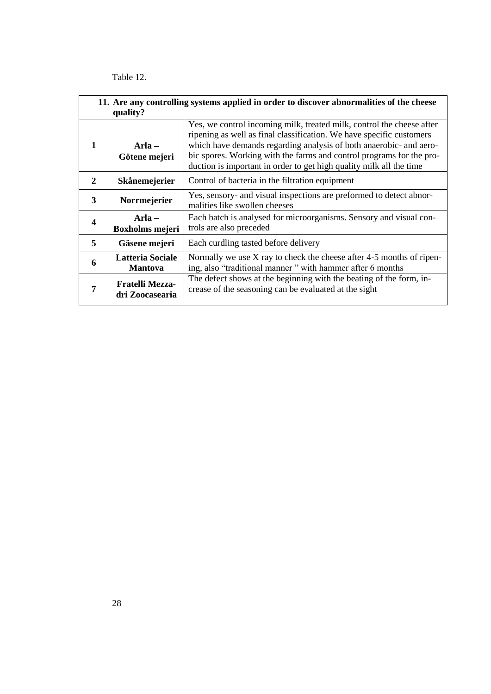Table 12.

| 11. Are any controlling systems applied in order to discover abnormalities of the cheese<br>quality? |                                           |                                                                                                                                                                                                                                                                                                                                                                    |  |
|------------------------------------------------------------------------------------------------------|-------------------------------------------|--------------------------------------------------------------------------------------------------------------------------------------------------------------------------------------------------------------------------------------------------------------------------------------------------------------------------------------------------------------------|--|
| 1                                                                                                    | $Arla -$<br>Götene mejeri                 | Yes, we control incoming milk, treated milk, control the cheese after<br>ripening as well as final classification. We have specific customers<br>which have demands regarding analysis of both anaerobic- and aero-<br>bic spores. Working with the farms and control programs for the pro-<br>duction is important in order to get high quality milk all the time |  |
| $\mathbf{2}$                                                                                         | Skånemejerier                             | Control of bacteria in the filtration equipment                                                                                                                                                                                                                                                                                                                    |  |
| 3                                                                                                    | Norrmejerier                              | Yes, sensory- and visual inspections are preformed to detect abnor-<br>malities like swollen cheeses                                                                                                                                                                                                                                                               |  |
| $\overline{\mathbf{4}}$                                                                              | Arla $-$<br><b>Boxholms mejeri</b>        | Each batch is analysed for microorganisms. Sensory and visual con-<br>trols are also preceded                                                                                                                                                                                                                                                                      |  |
| 5                                                                                                    | Gäsene mejeri                             | Each curdling tasted before delivery                                                                                                                                                                                                                                                                                                                               |  |
| 6                                                                                                    | <b>Latteria Sociale</b><br><b>Mantova</b> | Normally we use $X$ ray to check the cheese after 4-5 months of ripen-<br>ing, also "traditional manner" with hammer after 6 months                                                                                                                                                                                                                                |  |
| 7                                                                                                    | <b>Fratelli Mezza-</b><br>dri Zoocasearia | The defect shows at the beginning with the beating of the form, in-<br>crease of the seasoning can be evaluated at the sight                                                                                                                                                                                                                                       |  |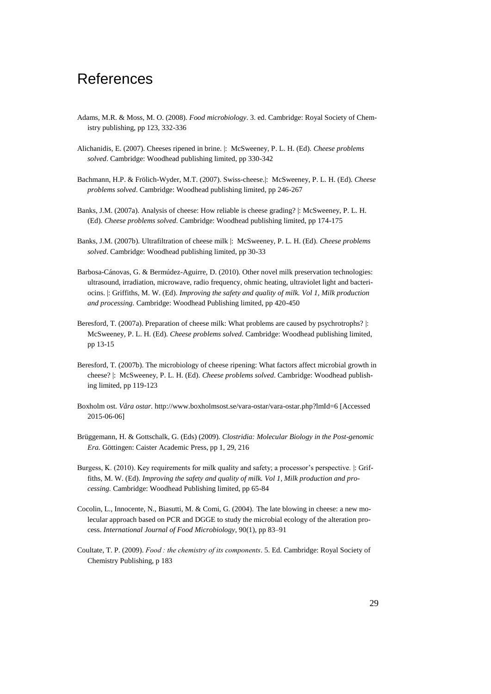# References

- Adams, M.R. & Moss, M. O. (2008). *Food microbiology*. 3. ed. Cambridge: Royal Society of Chemistry publishing, pp 123, 332-336
- Alichanidis, E. (2007). Cheeses ripened in brine. |: McSweeney, P. L. H. (Ed). *Cheese problems solved*. Cambridge: Woodhead publishing limited, pp 330-342
- Bachmann, H.P. & Frölich-Wyder, M.T. (2007). Swiss-cheese.|: McSweeney, P. L. H. (Ed). *Cheese problems solved*. Cambridge: Woodhead publishing limited, pp 246-267
- Banks, J.M. (2007a). Analysis of cheese: How reliable is cheese grading? |: McSweeney, P. L. H. (Ed). *Cheese problems solved*. Cambridge: Woodhead publishing limited, pp 174-175
- Banks, J.M. (2007b). Ultrafiltration of cheese milk |: McSweeney, P. L. H. (Ed). *Cheese problems solved*. Cambridge: Woodhead publishing limited, pp 30-33
- Barbosa-Cánovas, G. & Bermúdez-Aguirre, D. (2010). Other novel milk preservation technologies: ultrasound, irradiation, microwave, radio frequency, ohmic heating, ultraviolet light and bacteriocins. |: Griffiths, M. W. (Ed). *Improving the safety and quality of milk. Vol 1, Milk production and processing.* Cambridge: Woodhead Publishing limited, pp 420-450
- Beresford, T. (2007a). Preparation of cheese milk: What problems are caused by psychrotrophs? |: McSweeney, P. L. H. (Ed). *Cheese problems solved*. Cambridge: Woodhead publishing limited, pp 13-15
- Beresford, T. (2007b). The microbiology of cheese ripening: What factors affect microbial growth in cheese? |: McSweeney, P. L. H. (Ed). *Cheese problems solved*. Cambridge: Woodhead publishing limited, pp 119-123
- Boxholm ost. *Våra ostar.* <http://www.boxholmsost.se/vara-ostar/vara-ostar.php?lmId=6> [Accessed 2015-06-06]
- Brüggemann, H. & Gottschalk, G. (Eds) (2009). *Clostridia: Molecular Biology in the Post-genomic Era.* Göttingen: Caister Academic Press, pp 1, 29, 216
- Burgess, K. (2010). Key requirements for milk quality and safety; a processor's perspective. |: Griffiths, M. W. (Ed). *Improving the safety and quality of milk. Vol 1, Milk production and processing.* Cambridge: Woodhead Publishing limited, pp 65-84
- Cocolin, L., Innocente, N., Biasutti, M. & Comi, G. (2004). The late blowing in cheese: a new molecular approach based on PCR and DGGE to study the microbial ecology of the alteration process. *International Journal of Food Microbiology*, 90(1), pp 83–91
- Coultate, T. P. (2009). *Food : the chemistry of its components*. 5. Ed. Cambridge: Royal Society of Chemistry Publishing, p 183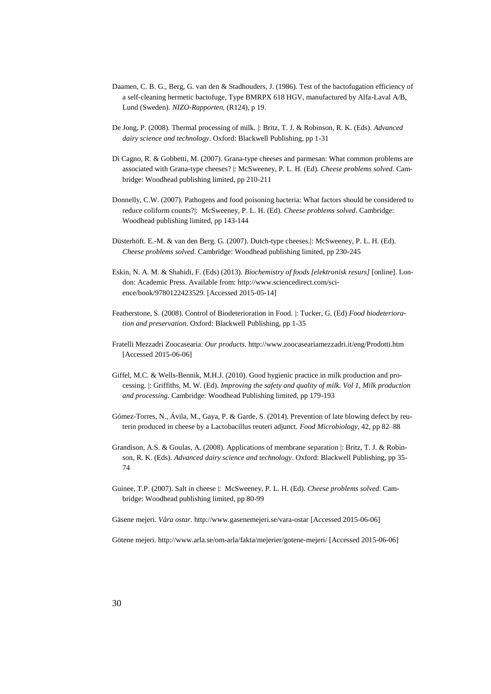- Daamen, C. B. G., Berg, G. van den & Stadhouders, J. (1986). Test of the bactofugation efficiency of a self-cleaning hermetic bactofuge, Type BMRPX 618 HGV, manufactured by Alfa-Laval A/B, Lund (Sweden). *NIZO-Rapporten*, (R124), p 19.
- De Jong, P. (2008). Thermal processing of milk. |: Britz, T. J. & Robinson, R. K. (Eds). *Advanced dairy science and technology*. Oxford: Blackwell Publishing, pp 1-31
- Di Cagno, R. & Gobbetti, M. (2007). Grana-type cheeses and parmesan: What common problems are associated with Grana-type cheeses? |: McSweeney, P. L. H. (Ed). *Cheese problems solved*. Cambridge: Woodhead publishing limited, pp 210-211
- Donnelly, C.W. (2007). Pathogens and food poisoning bacteria: What factors should be considered to reduce coliform counts?|: McSweeney, P. L. H. (Ed). *Cheese problems solved*. Cambridge: Woodhead publishing limited, pp 143-144
- Düsterhöft. E.-M. & van den Berg. G. (2007). Dutch-type cheeses.|: McSweeney, P. L. H. (Ed). *Cheese problems solved*. Cambridge: Woodhead publishing limited, pp 230-245
- Eskin, N. A. M. & Shahidi, F. (Eds) (2013). *Biochemistry of foods [elektronisk resurs]* [online]. London: Academic Press. Available from: http://www.sciencedirect.com/science/book/9780122423529. [Accessed 2015-05-14]
- Featherstone, S. (2008). Control of Biodeterioration in Food. |: Tucker, G. (Ed) *Food biodeterioration and preservation*. Oxford: Blackwell Publishing, pp 1-35
- Fratelli Mezzadri Zoocasearia. *Our products.* <http://www.zoocaseariamezzadri.it/eng/Prodotti.htm> [Accessed 2015-06-06]
- Giffel, M.C. & Wells-Bennik, M.H.J. (2010). Good hygienic practice in milk production and processing. |: Griffiths, M. W. (Ed). *Improving the safety and quality of milk. Vol 1, Milk production and processing.* Cambridge: Woodhead Publishing limited, pp 179-193
- Gómez-Torres, N., Ávila, M., Gaya, P. & Garde, S. (2014). Prevention of late blowing defect by reuterin produced in cheese by a Lactobacillus reuteri adjunct. *Food Microbiology*, 42, pp 82–88
- Grandison, A.S. & Goulas, A. (2008). Applications of membrane separation |: Britz, T. J. & Robinson, R. K. (Eds). *Advanced dairy science and technology*. Oxford: Blackwell Publishing, pp 35- 74
- Guinee, T.P. (2007). Salt in cheese |: McSweeney, P. L. H. (Ed). *Cheese problems solved*. Cambridge: Woodhead publishing limited, pp 80-99

Gäsene mejeri. *Våra ostar.* <http://www.gasenemejeri.se/vara-ostar> [Accessed 2015-06-06]

Götene mejeri*.* <http://www.arla.se/om-arla/fakta/mejerier/gotene-mejeri/> [Accessed 2015-06-06]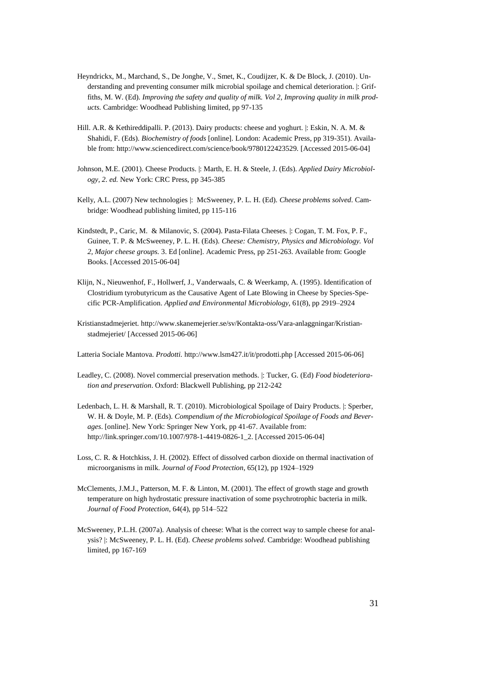- Heyndrickx, M., Marchand, S., De Jonghe, V., Smet, K., Coudijzer, K. & De Block, J. (2010). Understanding and preventing consumer milk microbial spoilage and chemical deterioration. |: Griffiths, M. W. (Ed). *Improving the safety and quality of milk. Vol 2, Improving quality in milk products.* Cambridge: Woodhead Publishing limited, pp 97-135
- Hill. A.R. & Kethireddipalli. P. (2013). Dairy products: cheese and yoghurt. |: Eskin, N. A. M. & Shahidi, F. (Eds). *Biochemistry of foods* [online]. London: Academic Press, pp 319-351). Available from: http://www.sciencedirect.com/science/book/9780122423529. [Accessed 2015-06-04]
- Johnson, M.E. (2001). Cheese Products. |: Marth, E. H. & Steele, J. (Eds). *Applied Dairy Microbiology, 2. ed.* New York: CRC Press, pp 345-385
- Kelly, A.L. (2007) New technologies |: McSweeney, P. L. H. (Ed). *Cheese problems solved*. Cambridge: Woodhead publishing limited, pp 115-116
- Kindstedt, P., Caric, M. & Milanovic, S. (2004). Pasta-Filata Cheeses. |: Cogan, T. M. Fox, P. F., Guinee, T. P. & McSweeney, P. L. H. (Eds). *Cheese: Chemistry, Physics and Microbiology. Vol 2, Major cheese groups.* 3. Ed [online]. Academic Press, pp 251-263. Available from: Google Books. [Accessed 2015-06-04]
- Klijn, N., Nieuwenhof, F., Hollwerf, J., Vanderwaals, C. & Weerkamp, A. (1995). Identification of Clostridium tyrobutyricum as the Causative Agent of Late Blowing in Cheese by Species-Specific PCR-Amplification. *Applied and Environmental Microbiology*, 61(8), pp 2919–2924
- Kristianstadmejeriet. [http://www.skanemejerier.se/sv/Kontakta-oss/Vara-anlaggningar/Kristian](http://www.skanemejerier.se/sv/Kontakta-oss/Vara-anlaggningar/Kristianstadmejeriet/)[stadmejeriet/](http://www.skanemejerier.se/sv/Kontakta-oss/Vara-anlaggningar/Kristianstadmejeriet/) [Accessed 2015-06-06]

Latteria Sociale Mantova. *Prodotti.* <http://www.lsm427.it/it/prodotti.php> [Accessed 2015-06-06]

- Leadley, C. (2008). Novel commercial preservation methods. |: Tucker, G. (Ed) *Food biodeterioration and preservation*. Oxford: Blackwell Publishing, pp 212-242
- Ledenbach, L. H. & Marshall, R. T. (2010). Microbiological Spoilage of Dairy Products. |: Sperber, W. H. & Doyle, M. P. (Eds). *Compendium of the Microbiological Spoilage of Foods and Beverages*. [online]. New York: Springer New York, pp 41-67. Available from: http://link.springer.com/10.1007/978-1-4419-0826-1\_2. [Accessed 2015-06-04]
- Loss, C. R. & Hotchkiss, J. H. (2002). Effect of dissolved carbon dioxide on thermal inactivation of microorganisms in milk. *Journal of Food Protection*, 65(12), pp 1924–1929
- McClements, J.M.J., Patterson, M. F. & Linton, M. (2001). The effect of growth stage and growth temperature on high hydrostatic pressure inactivation of some psychrotrophic bacteria in milk. *Journal of Food Protection*, 64(4), pp 514–522
- McSweeney, P.L.H. (2007a). Analysis of cheese: What is the correct way to sample cheese for analysis? |: McSweeney, P. L. H. (Ed). *Cheese problems solved*. Cambridge: Woodhead publishing limited, pp 167-169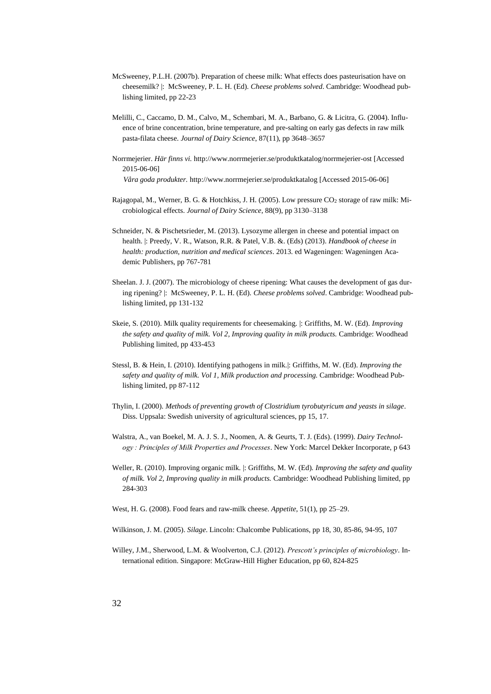- McSweeney, P.L.H. (2007b). Preparation of cheese milk: What effects does pasteurisation have on cheesemilk? |: McSweeney, P. L. H. (Ed). *Cheese problems solved*. Cambridge: Woodhead publishing limited, pp 22-23
- Melilli, C., Caccamo, D. M., Calvo, M., Schembari, M. A., Barbano, G. & Licitra, G. (2004). Influence of brine concentration, brine temperature, and pre-salting on early gas defects in raw milk pasta-filata cheese. *Journal of Dairy Science*, 87(11), pp 3648–3657
- Norrmejerier. *Här finns vi.* <http://www.norrmejerier.se/produktkatalog/norrmejerier-ost> [Accessed 2015-06-06] *Våra goda produkter.* <http://www.norrmejerier.se/produktkatalog> [Accessed 2015-06-06]
- Rajagopal, M., Werner, B. G. & Hotchkiss, J. H. (2005). Low pressure CO<sub>2</sub> storage of raw milk: Microbiological effects. *Journal of Dairy Science*, 88(9), pp 3130–3138
- Schneider, N. & Pischetsrieder, M. (2013). Lysozyme allergen in cheese and potential impact on health. |: Preedy, V. R., Watson, R.R. & Patel, V.B. &. (Eds) (2013). *Handbook of cheese in health: production, nutrition and medical sciences*. 2013. ed Wageningen: Wageningen Academic Publishers, pp 767-781
- Sheelan. J. J. (2007). The microbiology of cheese ripening: What causes the development of gas during ripening? |: McSweeney, P. L. H. (Ed). *Cheese problems solved*. Cambridge: Woodhead publishing limited, pp 131-132
- Skeie, S. (2010). Milk quality requirements for cheesemaking. |: Griffiths, M. W. (Ed). *Improving the safety and quality of milk. Vol 2, Improving quality in milk products.* Cambridge: Woodhead Publishing limited, pp 433-453
- Stessl, B. & Hein, I. (2010). Identifying pathogens in milk.|: Griffiths, M. W. (Ed). *Improving the safety and quality of milk. Vol 1, Milk production and processing.* Cambridge: Woodhead Publishing limited, pp 87-112
- Thylin, I. (2000). *Methods of preventing growth of Clostridium tyrobutyricum and yeasts in silage*. Diss. Uppsala: Swedish university of agricultural sciences, pp 15, 17.
- Walstra, A., van Boekel, M. A. J. S. J., Noomen, A. & Geurts, T. J. (Eds). (1999). *Dairy Technology : Principles of Milk Properties and Processes*. New York: Marcel Dekker Incorporate, p 643
- Weller, R. (2010). Improving organic milk. |: Griffiths, M. W. (Ed). *Improving the safety and quality of milk. Vol 2, Improving quality in milk products.* Cambridge: Woodhead Publishing limited, pp 284-303
- West, H. G. (2008). Food fears and raw-milk cheese. *Appetite*, 51(1), pp 25–29.
- Wilkinson, J. M. (2005). *Silage*. Lincoln: Chalcombe Publications, pp 18, 30, 85-86, 94-95, 107
- Willey, J.M., Sherwood, L.M. & Woolverton, C.J. (2012). *Prescott's principles of microbiology*. International edition. Singapore: McGraw-Hill Higher Education, pp 60, 824-825